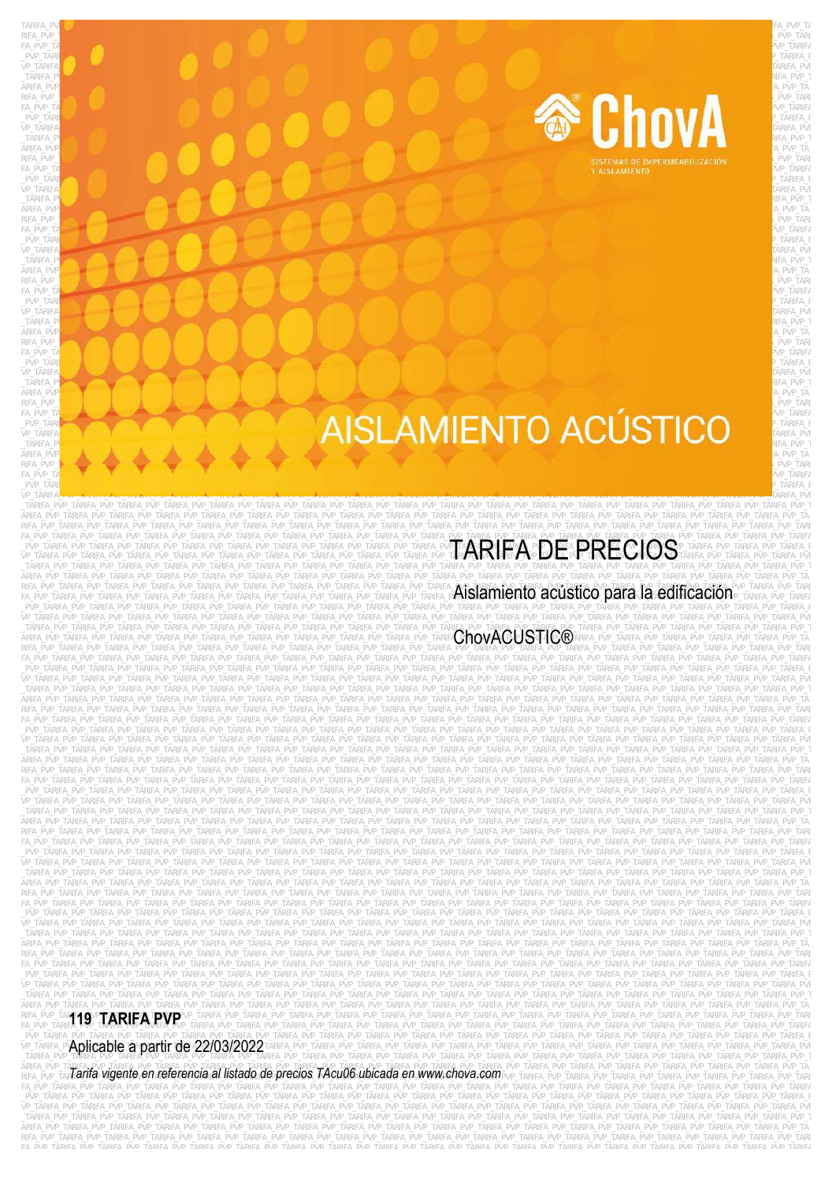

# **AISLAMIENTO ACÚSTICO** ARIFA\_PVP\_**TARIFA\_PVP\_TARIFA\_PVP\_TARIFA\_PVP\_TARIFA\_PVP\_TARIFA\_PVP\_TARIFA\_PVP\_TARIFA\_PVP\_TARIFA\_PVP\_TARiFA\_PVP\_TARiFA\_PVP\_TARiFA\_PVP\_TARiFA\_PVP\_TARiFA\_PVP\_TARiFA\_PVP\_TARiFA\_PVP\_TARiFA\_PVP\_TARiFA\_PVP\_TARiFA\_PVP\_TARiFA\_PVP\_T**

TARIFA\_PVP\_TARIFA\_PVP\_TARIFA\_PVP\_TARIFA\_PVP\_TARIFA\_PVP\_TARIFA\_PVP\_TARIFA\_PVP\_TARIFA\_PVP\_TARIFA\_PVP\_TARIFA\_PVP\_TA RIFA\_PVP\_Tarifa\_narifa\_pvarta\_pvarta\_pvarta\_pvarta\_pvarta\_pvarta\_pvarta\_pvarta\_pvarta\_pvarta\_pvarta\_pvarta\_pvar  $F$ apvp $_\text{P}$ tarifa $\rho$ y p $_\text{P}$ tarifa $\rho$  $\_$ PVP\_TARIFA $\_$ PVP $\_$ TARIFA $\_$ pv $\_$ Tarifa $\_$ Pv $\_$ Tarifa $\_$ pv $\_$ Tarifa $\_$ pv $\_$ Tarifa $\_$ pv $\_$ Tarifa $\_$ pv $\_$  $\vee$ P\_TARIFA $\blacksquare$  ) are the set of the set of the set of the set of the set of the set of the set of the set of the set of the set of the set of the set of the set of the set of the set of the set of the set of the set  $\_$ TARIFA\_PV $\blacksquare$ Pvatarifa\_matamata $\blacksquare$ pve $\blacksquare$ tarifa $\blacksquare$ pve $\blacksquare$ tarifa $\blacksquare$ pve $\blacksquare$ \_PVP\_TARIFA\_PVP\_TARIFA\_PVP\_TARIFA\_PVP\_TARIFA\_PVP\_TARIFA\_PVP\_TARIFA\_PVP\_TARIFA\_PVP\_TARIFA\_PVP\_TARIFA\_PVP\_TARIFA\_PVP\_TARIFA\_PVP\_TARIFA\_PVP\_TARIFA\_PVP\_TARIFA\_PVP\_TARIFA\_PVP\_TARIFA\_PVP\_TARIFA\_P VP\_TARIFA\_PVP\_TARIFA\_PVP\_TARIFA\_PVP\_TARIFA\_PVP\_TARIFA\_PVP\_TARIFA\_PVP\_TARIFA\_PVP\_TARIFA\_PVP\_TARIFA\_PVP\_TARIFA\_PVP\_TARIFA\_PVP\_TARIFA\_PVP\_TARIFA\_PVP\_TARIFA\_PVP\_TARIFA\_PVP\_TARIFA\_PVP\_TARIFA\_PVP  $T$ ARIFA\_P<mark>v $\sim$  Announce that the vertal points are the vertal points are the vertal points are the vertal points are the vertal points are the vertal points are the vertal points are the vertal points are the vertal poi</mark> ARIFA\_PVP $\overline{\phantom{a}}$ PVP\_TARIFA\_PVP\_TARIFA\_PVP\_TARIFA\_PVP\_TARIFA\_PVP\_TARIFA\_PVP\_TARIFA\_PVP\_TARIFA\_PVP\_TARIFA\_PVP\_TA RIFA\_PVP\_TARIFA\_PVP\_TARIFA\_PVP\_TARIFA\_PVP\_TARIFA\_PVP\_TARIFA\_PVP\_TARIFA\_PVP\_TARIFA\_PVP\_TARIFA\_PVP\_TARIFA\_PVP\_TARIFA  $F_A=PV\!\!P_\perp$  pvp $P_\perp$  tarifa $P_\perp$  pvp $P_\perp$  tarifa $P_\perp$  $\_$ PVP\_TARIF $\alpha$ VP\_TARIFA\_PVP\_TARIFA\_PVP\_TARIFA\_PVP\_TARIFA\_PVP\_TARIFA\_PVP\_TARIFA\_PVP\_TARIFA\_PVP\_TARIFA\_PVP\_TARIFA\_PVP\_TARIFA\_PVP\_TARIFA\_PVP\_TARIFA\_PVP\_TARIFA\_PVP\_TARIFA\_PVP\_TARIFA\_PVP\_TARIFA\_PVP\_TARIFA\_PVP  $T$ ARIFA\_PV $\sim$  Tarifa\_pv $\sim$  and tariface the state of the state of the state of the state of the state of the state of the state of the state of the state of the state of the state of the state of the state of the state ARIFA\_PVP\_TARIFA\_PVP\_TARIFA\_PVP\_TARIFA\_PVP\_TARIFA\_PVP\_TARIFA\_PVP\_TARIFA\_PVP\_TARIFA\_PVP\_TARIFA\_PVP\_TARIFA\_PVP\_TARIFA\_PVP\_TARIFA\_PVP\_TARIFA\_PVP\_TARIFA\_PVP\_TARIFA\_PVP\_TARIFA\_PVP\_TARIFA\_PVP\_TA RIFA\_PVP\_<mark>T</mark>arifa\_pvertarifa\_pvertarifa\_pvertarifa\_pvertarifa\_pvertarifa\_pvertarifa\_pvertarifa\_pvertarifa\_pvertarifa\_pvertarifa\_pvertarifa\_pvertarifa\_pvertarifa\_pvertarifa\_pvertarifa\_pvertarifa\_pvertarifa\_pvertarifa\_pverta FA\_PVP\_TARIFA\_PVP\_TARIFA\_PVP\_TARIFA\_PVP\_TARIFA\_PVP\_TARIFA\_PVP\_TARIFA\_PVP\_TARIFA\_PVP\_TARIFA\_PVP\_TARIFA\_PVP\_TARIFA\_PVP\_TARIFA\_PVP\_TARIFA\_PVP\_TARIFA\_PVP\_TARIFA\_PVP\_TARIFA\_PVP\_TARIFA\_PVP\_TARIFA  $\_$ PVP\_TARIF $\sim$  PVP\_TARIFA\_PVP\_TARIFA\_PvP\_TARIFA\_PvP\_TARIFA\_PvP\_TARIFA\_PvP\_TARIFA\_PvP\_TARIFA\_PvP\_TARIFA\_PvP\_TARIFA\_Pv VP\_TARIFA\_PVP\_TARIFA\_PVP\_TARIFA\_PVP\_TARIFA\_PVP\_TARIFA\_PVP\_TARIFA\_PVP\_TARIFA\_PVP\_TARIFA\_PVP\_TARIFA\_PVP\_TARIFA\_PVP\_TARIFA\_PVP\_TARIFA\_PVP\_TARIFA\_PVP\_TARIFA\_PVP\_TARIFA\_PVP\_TARIFA\_PVP\_TARIFA\_PVP  $T$ ARIFA\_PV $T$ arifa $\sim$  arifa $T$ arifa $T$ arifa $T$ arifa $T$ arifa $T$ arifa $T$ arifa $T$ arifa $T$ arifa $T$ arifa $T$ arifa $T$ arifa $T$ arifa $T$ arifa $T$ arifa $T$ arifa $T$ arifa $T$ arifa $T$ arifa $T$ arifa $T$ arifa $T$ arifa $T$ arifa $T$ arifa $T$ arifa ARIFA\_PVP\_TARIFA\_PVP\_TARIFA\_PVP\_TARIFA\_PVP\_TARIFA\_PVP\_TARIFA\_PVP\_TARIFA\_PVP\_TARIFA\_PVP\_TARIFA\_PVP\_TARIFA\_PVP\_TARIFA\_PVP\_TARIFA\_PVP\_TARIFA\_PVP\_TARIFA\_PVP\_TARIFA\_PVP\_TARIFA\_PVP\_TARIFA\_PVP\_TA RIFA\_PVP\_Tarifa\_pvP\_Tarifa\_pvP\_TARIFA\_PvP\_TARIFA\_PvP\_TARIFA\_PvP\_TARIFA\_PvP\_TARIFA\_PvP\_TARIFA\_PvP\_TARIFA\_PvP\_TARIFA\_PvP\_TARIFA\_PvP\_TARIFA\_PvP\_TARIFA\_PvP\_TARIFA\_PvP\_TARIFA\_PvP\_TARIFA\_PvP\_TARIFA\_PvP\_TARIFA\_PvP\_TARIFA\_PvP\_TARI  $F_A=PQ\cap P=\{A\subseteq P|P|=p\}$  , which are pupils and the pvp. Tarifactor  $P$  vp. Tarifactor  $P$  vp. Tarifactor  $P$ \_PVP\_TARIFA\_PVP\_TARIFA\_PVP\_TARIFA\_PVP\_TARIFA\_PVP\_TARIFA\_PVP\_TARIFA\_PVP\_TARIFA\_PVP\_TARIFA\_PVP\_TARIFA\_PVP\_TARIFA\_PVP\_TARIFA\_PVP\_TARIFA\_PVP\_TARIFA\_PVP\_TARIFA\_PVP\_TARIFA\_PVP\_TARIFA\_PVP\_TARIFA\_P VP\_TARIFA\_PVP\_TARIFA\_PVP\_TARIFA\_PVP\_TARIFA\_PVP\_TARIFA\_PVP\_TARIFA\_PVP\_TARIFA\_PVP\_TARIFA\_PVP\_TARIFA\_PVP\_TARIFA\_PVP\_TARIFA\_PVP\_TARIFA\_PVP\_TARIFA\_PVP\_TARIFA\_PVP\_TARIFA\_PVP\_TARIFA\_PVP\_TARIFA\_PVP  $T$ arifa\_pv $\sim$  tarifata $\sim$  tarifatatifatatifatatifatatifatatifatatifatatifatatifatatifatatifatatifatatifatatifatatifatatifatatifatatifatatifatatifatatifatatifatatifatatifatatifatatifatatifatatifatatifatatifatatifatatifa ARIFA\_PVP\_TARIFA\_PVP\_TARIFA\_PVP\_TARIFA\_PVP\_TARIFA\_PVP\_TARIFA\_PVP\_TARIFA\_PVP\_TARIFA\_PVP\_TARIFA\_PVP\_TARIFA\_PVP\_TA  $R$ ifa\_pvp\_**tarifa\_pvp\_tarifa\_pvp\_tarifa\_pvp\_tarifa\_pvp\_tarifa\_pvp\_tarifa\_pvp\_tarifa\_pvp\_tarifa\_pvp\_tarifa\_pvp\_tarifa\_pvp\_tarifa\_pvp\_tarifa\_pvp\_tarifa\_pvp\_tarifa\_pvp\_tarifa\_pvp\_tarifa\_pvp\_tarifa\_pvp\_tarifa\_pvp\_tarifa\_pvp\_**  $F$ pvp\_ta $P$ up $\mathcal{P}$  pvp $P$  tarifa $P$ ve $P$ upatanifa $P$ ve $P$ upatanifa $P$ ve $P$ upatanifa $P$ ve $P$ upatanifa $P$ ve $P$ upatanifa $P$ ve $P$ upatanifa $P$ ve $P$ upatanifa $P$ ve $P$ upatanifa $P$ ve $P$ upatanifa $P$ ve $P$ upatanifa $P$ ve $P$ upatani \_PVP\_TARIFA\_PVP\_TARIFA\_PVP\_TARIFA\_PVP\_TARIFA\_PVP\_TARIFA\_PVP\_TARIFA\_PVP\_TARIFA\_PVP\_TARIFA\_PVP\_TARIFA\_PVP\_TARIFA\_PVP\_TARIFA\_PVP\_TARIFA\_PVP\_TARIFA\_PVP\_TARIFA\_PVP\_TARIFA\_PVP\_TARIFA\_PVP\_TARIFA\_P VP\_TARIFA<mark>\_ + \_town\_\_to\_town\_tarifa\_pv</mark>\_tarifa\_tarifa\_tarifa\_pa\_tarifa\_pv<sub>r</sub>tarifa\_pvp\_tarifa\_pvp\_tarifa\_pvp\_tarifa\_pvp\_tarifa\_pvp\_tarifa\_pvp

\_TARIFA\_PVP\_TARIFA\_PVP\_TARIFA\_PVP\_TARIFA\_PVP\_TARIFA\_PVP\_TARIFA\_PVP\_TARIFA\_PVP\_TARIFA\_PVP\_TARIFA\_PVP\_TARIFA\_PVP\_TARIFA\_PVP\_TARIFA\_PVP\_TARIFA\_PVP\_TARIFA\_PVP\_TARIFA\_PVP\_TARIFA\_PVP\_TARIFA\_PVP\_T ARIFA\_PVP\_TARIFA\_PVP\_TARIFA\_PVP\_TARIFA\_PVP\_TARIFA\_PVP\_TARIFA\_PVP\_TARIFA\_PVP\_TARIFA\_PVP\_TARIFA\_PVP\_TARIFA\_PVP\_TARIFA\_PVP\_TARIFA\_PVP\_TARIFA\_PVP\_TARIFA\_PVP\_TARIFA\_PVP\_TARIFA\_PVP\_TARIFA\_PVP\_TA RIFA\_PVP\_TARIFA\_PVP\_TARIFA\_PVP\_TARIFA\_PVP\_TARIFA\_PVP\_TARIFA\_PVP\_TARIFA\_PVP\_TARIFA\_PVP\_TARIFA\_PVP\_TARIFA\_PVP\_TARIFA\_PVP\_TARIFA\_PVP\_TARIFA\_PVP\_TARIFA\_PVP\_TARIFA\_PVP\_TARIFA\_PVP\_TARIFA\_PVP\_TARI FA PVP\_TARIFA\_PVP\_TARIFA\_PVP\_TARIFA\_PVP\_TARIFA\_PVP\_TARIFA\_PVP\_TARIFA\_PVP\_TARIFA\_PVP\_TARIFA\_PVP\_TARIFA\_PVP\_TARIFA\_PVD\_TARIFA\_PVP\_TARIFA\_PVP\_TARIFA\_PVP\_TARIFA\_PVP\_TARIFA\_PVP\_TARIFA\_PVP\_TARIFA\_PVP\_TARIFA\_PVP\_TARIFA\_PVP\_TARIFA

\_TARIFA\_PVP\_TARIFA\_PVP\_TARIFA\_PVP\_TARIFA\_PVP\_TARIFA\_PVP\_TARIFA\_PVP\_TARIFA\_PVP\_TARIFA\_PVP\_TARIFA\_PVP\_TARIFA\_PVP\_TARIFA\_PVP\_TARIFA\_PVP\_TARIFA\_PVP\_TARIFA\_PVP\_TARIFA\_PVP\_TARIFA\_PVP\_TARIFA\_PVP\_T arifa\_pvp\_tarifa\_pvp\_tarifa\_pvp\_tarifa\_pvp\_tarifa\_pvp\_tarifa\_pvp\_tarifa\_pvp\_tarifa\_pvp\_tarifa\_pvp\_tarifa\_pvp\_tarifa\_pvp\_tarifa\_pvp\_tarifa\_pvp\_tarifa\_pvp\_tarifa\_pvp\_tarifa\_pvp\_tarifa\_pvp\_tarifa\_pvp\_tarifa\_pvp\_tarifa\_pvp\_tar \_PVP\_TARIFA\_PVP\_TARIFA\_PVP\_TARIFA\_PVP\_TARIFA\_PVP\_TARIFA\_PVP\_TARIFA\_PVP\_TARIFA\_PVP\_TARIFA\_PVP\_TARIFA\_PVP\_TARIFA\_PVP\_TARIFA\_PVP\_TARIFA\_PVP\_TARIFA\_PVP\_TARIFA\_PVP\_TARIFA\_PVP\_TARIFA\_PVP\_TARIFA\_P VP\_TARIFA\_PVP\_TARIFA\_PVP\_TARIFA\_PVP\_TARIFA\_PVP\_TARIFA\_PVP\_TARIFA\_PVP\_TARIFA\_PVP\_TARIFA\_PVP\_TARIFA\_PVP\_TARIFA\_PVP\_TARIFA\_PVP\_TARIFA\_PVP\_TARIFA\_PVP\_TARIFA\_PVP\_TARIFA\_PVP\_TARIFA\_PVP\_TARIFA\_PVP \_TARIFA\_PVP\_TARIFA\_PVP\_TARIFA\_PVP\_TARIFA\_PVP\_TARIFA\_PVP\_TARIFA\_PVP\_TARIFA\_PVP\_TARIFA\_PVP\_TARIFA\_PVP\_TARIFA\_PVP\_TARIFA\_PVP\_TARIFA\_PVP\_TARIFA\_PVP\_TARIFA\_PVP\_TARIFA\_PVP\_TARIFA\_PVP\_TARIFA\_PVP\_TARIFA\_PVP\_TARIFA\_PVP\_TARIFA\_PVP\_T RIFA\_PVP\_TARIFA\_PVP\_TARIFA\_PVP\_TARIFA\_PVP\_TARIFA\_PVP\_TARIFA\_PVP\_TARIFA\_PVP\_TARIFA\_PVP\_TARIFA\_PVP\_TARIFA\_PVP\_TARIFA\_PVP\_TARIFA\_PVP\_TARIFA\_PVP\_TARIFA\_PVP\_TARIFA\_PVP\_TARIFA\_PVP\_TARIFA\_PVP\_TARI FA\_PVP\_TARIFA\_PVP\_TARIFA\_PVP\_TARIFA\_PVP\_TARIFA\_PVP\_TARIFA\_PVP\_TARIFA\_PVP\_TARIFA\_PVP\_TARIFA\_PVP\_TARIFA\_PVP\_TARIFA\_PVP\_TARIFA\_PVP\_TARIFA\_PVP\_TARIFA\_PVP\_TARIFA\_PVP\_TARIFA\_PVP\_TARIFA\_PVP\_TARIFA \_PVP\_TARIFA\_PVP\_TARIFA\_PVP\_TARIFA\_PVP\_TARIFA\_PVP\_TARIFA\_PVP\_TARIFA\_PVP\_TARIFA\_PVP\_TARIFA\_PVP\_TARIFA\_PVP\_TARIFA\_PVP\_TARIFA\_PVP\_TARIFA\_PVP\_TARIFA\_PVP\_TARIFA\_PVP\_TARIFA\_PVP\_TARIFA\_PVP\_TARIFA\_P VP\_TARIFA\_PVP\_TARIFA\_PVP\_TARIFA\_PVP\_TARIFA\_PVP\_TARIFA\_PVP\_TARIFA\_PVP\_TARIFA\_PVP\_TARIFA\_PVP\_TARIFA\_PVP\_TARIFA\_PVP\_TARIFA\_PVP\_TARIFA\_PVP\_TARIFA\_PVP\_TARIFA\_PVP\_TARIFA\_PVP\_TARIFA\_PVP\_TARIFA\_PVP \_TARIFA\_PVP\_TARIFA\_PVP\_TARIFA\_PVP\_TARIFA\_PVP\_TARIFA\_PVP\_TARIFA\_PVP\_TARIFA\_PVP\_TARIFA\_PVP\_TARIFA\_PVP\_TARIFA\_PVP\_TARIFA\_PVP\_TARIFA\_PVP\_TARIFA\_PVP\_TARIFA\_PVP\_TARIFA\_PVP\_TARIFA\_PVP\_TARIFA\_PVP\_T ARIFA\_PVP\_TARIFA\_PVP\_TARIFA\_PVP\_TARIFA\_PVP\_TARIFA\_PVP\_TARIFA\_PVP\_TARIFA\_PVP\_TARIFA\_PVP\_TARIFA\_PVP\_TARIFA\_PVP\_TARIFA\_PVP\_TARIFA\_PVP\_TARIFA\_PVP\_TARIFA\_PVP\_TARIFA\_PVP\_TARIFA\_PVP\_TARIFA\_PVP\_TA RIFA\_PVP\_TARIFA\_PVP\_TARIFA\_PVP\_TARIFA\_PVP\_TARIFA\_PVP\_TARIFA\_PVP\_TARIFA\_PVP\_TARIFA\_PVP\_TARIFA\_PVP\_TARIFA\_PVP\_TARIFA\_PVP\_TARIFA\_PVP\_TARIFA\_PVP\_TARIFA\_PVP\_TARIFA\_PVP\_TARIFA\_PVP\_TARIFA\_PVP\_TARI FA\_PVP\_TARIFA\_PVP\_TARIFA\_PVP\_TARIFA\_PVP\_TARIFA\_PVP\_TARIFA\_PVP\_TARIFA\_PVP\_TARIFA\_PVP\_TARIFA\_PVP\_TARIFA\_PVP\_TARIFA\_PVP\_TARIFA\_PVP\_TARIFA\_PVP\_TARIFA\_PVP\_TARIFA\_PVP\_TARIFA\_PVP\_TARIFA\_PVP\_TARIFA \_PVP\_TARIFA\_PVP\_TARIFA\_PVP\_TARIFA\_PVP\_TARIFA\_PVP\_TARIFA\_PVP\_TARIFA\_PVP\_TARIFA\_PVP\_TARIFA\_PVP\_TARIFA\_PVP\_TARIFA\_PVP\_TARIFA\_PVP\_TARIFA\_PVP\_TARIFA\_PVP\_TARIFA\_PVP\_TARIFA\_PVP\_TARIFA\_PVP\_TARIFA\_P VP\_TARIFA\_PVP\_TARIFA\_PVP\_TARIFA\_PVP\_TARIFA\_PVP\_TARIFA\_PVP\_TARIFA\_PVP\_TARIFA\_PVP\_TARIFA\_PVP\_TARIFA\_PVP\_TARIFA\_PVP\_TARIFA\_PVP\_TARIFA\_PVP\_TARIFA\_PVP\_TARIFA\_PVP\_TARIFA\_PVP\_TARIFA\_PVP\_TARIFA\_PVP \_TARIFA\_PVP\_TARIFA\_PVP\_TARIFA\_PVP\_TARIFA\_PVP\_TARIFA\_PVP\_TARIFA\_PVP\_TARIFA\_PVP\_TARIFA\_PVP\_TARIFA\_PVP\_TARIFA\_PVP\_TARIFA\_PVP\_TARIFA\_PVP\_TARIFA\_PVP\_TARIFA\_PVP\_TARIFA\_PVP\_TARIFA\_PVP\_TARIFA\_PVP\_T ARIFA\_PVP\_TARIFA\_PVP\_TARIFA\_PVP\_TARIFA\_PVP\_TARIFA\_PVP\_TARIFA\_PVP\_TARIFA\_PVP\_TARIFA\_PVP\_TARIFA\_PVP\_TARIFA\_PVP\_TARIFA\_PVP\_TARIFA\_PVP\_TARIFA\_PVP\_TARIFA\_PVP\_TARIFA\_PVP\_TARIFA\_PVP\_TARIFA\_PVP\_TA RIFA\_PVP\_TARIFA\_PVP\_TARIFA\_PVP\_TARIFA\_PVP\_TARIFA\_PVP\_TARIFA\_PVP\_TARIFA\_PVP\_TARIFA\_PVP\_TARIFA\_PVP\_TARIFA\_PVP\_TARIFA\_PVP\_TARIFA\_PVP\_TARIFA\_PVP\_TARIFA\_PVP\_TARIFA\_PVP\_TARIFA\_PVP\_TARIFA\_PVP\_TARI FA\_PVP\_TARIFA\_PVP\_TARIFA\_PVP\_TARIFA\_PVP\_TARIFA\_PVP\_TARIFA\_PVP\_TARIFA\_PVP\_TARIFA\_PVP\_TARIFA\_PVP\_TARIFA\_PVP\_TARIFA\_PVP\_TARIFA\_PVP\_TARIFA\_PVP\_TARIFA\_PVP\_TARIFA\_PVP\_TARIFA\_PVP\_TARIFA\_PVP\_TARIFA \_PVP\_TARIFA\_PVP\_TARIFA\_PVP\_TARIFA\_PVP\_TARIFA\_PVP\_TARIFA\_PVP\_TARIFA\_PVP\_TARIFA\_PVP\_TARIFA\_PVP\_TARIFA\_PVP\_TARIFA\_PVP\_TARIFA\_PVP\_TARIFA\_PVP\_TARIFA\_PVP\_TARIFA\_PVP\_TARIFA\_PVP\_TARIFA\_PVP\_TARIFA\_P VP\_TARIFA\_PVP\_TARIFA\_PVP\_TARIFA\_PVP\_TARIFA\_PVP\_TARIFA\_PVP\_TARIFA\_PVP\_TARIFA\_PVP\_TARIFA\_PVP\_TARIFA\_PVP\_TARIFA\_PVP\_TARIFA\_PVP\_TARIFA\_PVP\_TARIFA\_PVP\_TARIFA\_PVP\_TARIFA\_PVP\_TARIFA\_PVP\_TARIFA\_PVP \_TARIFA\_PVP\_TARIFA\_PVP\_TARIFA\_PVP\_TARIFA\_PVP\_TARIFA\_PVP\_TARIFA\_PVP\_TARIFA\_PVP\_TARIFA\_PVP\_TARIFA\_PVP\_TARIFA\_PVP\_TARIFA\_PVP\_TARIFA\_PVP\_TARIFA\_PVP\_TARIFA\_PVP\_TARIFA\_PVP\_TARIFA\_PVP\_TARIFA\_PVP\_T ARIFA\_PVP\_TARIFA\_PVP\_TARIFA\_PVP\_TARIFA\_PVP\_TARIFA\_PVP\_TARIFA\_PVP\_TARIFA\_PVP\_TARIFA\_PVP\_TARIFA\_PVP\_TARIFA\_PVP\_TARIFA\_PVP\_TARIFA\_PVP\_TARIFA\_PVP\_TARIFA\_PVP\_TARIFA\_PVP\_TARIFA\_PVP\_TARIFA\_PVP\_TA RIFA\_PVP\_TARIFA\_PVP\_TARIFA\_PVP\_TARIFA\_PVP\_TARIFA\_PVP\_TARIFA\_PVP\_TARIFA\_PVP\_TARIFA\_PVP\_TARIFA\_PVP\_TARIFA\_PVP\_TARIFA\_PVP\_TARIFA\_PVP\_TARIFA\_PVP\_TARIFA\_PVP\_TARIFA\_PVP\_TARIFA\_PVP\_TARIFA\_PVP\_TARI FA\_PVP\_TARIFA\_PVP\_TARIFA\_PVP\_TARIFA\_PVP\_TARIFA\_PVP\_TARIFA\_PVP\_TARIFA\_PVP\_TARIFA\_PVP\_TARIFA\_PVP\_TARIFA\_PVP\_TARIFA\_PVP\_TARIFA\_PVP\_TARIFA\_PVP\_TARIFA\_PVP\_TARIFA\_PVP\_TARIFA\_PVP\_TARIFA\_PVP\_TARIFA \_PVP\_TARIFA\_PVP\_TARIFA\_PVP\_TARIFA\_PVP\_TARIFA\_PVP\_TARIFA\_PVP\_TARIFA\_PVP\_TARIFA\_PVP\_TARIFA\_PVP\_TARIFA\_PVP\_TARIFA\_PVP\_TARIFA\_PVP\_TARIFA\_PVP\_TARIFA\_PVP\_TARIFA\_PVP\_TARIFA\_PVP\_TARIFA\_PVP\_TARIFA\_P VP\_TARIFA\_PVP\_TARIFA\_PVP\_TARIFA\_PVP\_TARIFA\_PVP\_TARIFA\_PVP\_TARIFA\_PVP\_TARIFA\_PVP\_TARIFA\_PVP\_TARIFA\_PVP\_TARIFA\_PVP\_TARIFA\_PVP\_TARIFA\_PVP\_TARIFA\_PVP\_TARIFA\_PVP\_TARIFA\_PVP\_TARIFA\_PVP\_TARIFA\_PVP \_TARIFA\_PVP\_TARIFA\_PVP\_TARIFA\_PVP\_TARIFA\_PVP\_TARIFA\_PVP\_TARIFA\_PVP\_TARIFA\_PVP\_TARIFA\_PVP\_TARIFA\_PVP\_TARIFA\_PVP\_TARIFA\_PVP\_TARIFA\_PVP\_TARIFA\_PVP\_TARIFA\_PVP\_TARIFA\_PVP\_TARIFA\_PVP\_TARIFA\_PVP\_T ARIFA\_PVP\_TARIFA\_PVP\_TARIFA\_PVP\_TARIFA\_PVP\_TARIFA\_PVP\_TARIFA\_PVP\_TARIFA\_PVP\_TARIFA\_PVP\_TARIFA\_PVP\_TARIFA\_PVP\_TARIFA\_PVP\_TARIFA\_PVP\_TARIFA\_PVP\_TARIFA\_PVP\_TARIFA\_PVP\_TARIFA\_PVP\_TARIFA\_PVP\_TA RIFA\_PVP\_TARIFA\_PVP\_TARIFA\_PVP\_TARIFA\_PVP\_TARIFA\_PVP\_TARIFA\_PVP\_TARIFA\_PVP\_TARIFA\_PVP\_TARIFA\_PVP\_TARIFA\_PVP\_TARIFA\_PVP\_TARIFA\_PVP\_TARIFA\_PVP\_TARIFA\_PVP\_TARIFA\_PVP\_TARIFA\_PVP\_TARIFA\_PVP\_TARI FA\_PVP\_TARIFA\_PVP\_TARIFA\_PVP\_TARIFA\_PVP\_TARIFA\_PVP\_TARIFA\_PVP\_TARIFA\_PVP\_TARIFA\_PVP\_TARIFA\_PVP\_TARIFA\_PVP\_TARIFA\_PVP\_TARIFA\_PVP\_TARIFA\_PVP\_TARIFA\_PVP\_TARIFA\_PVP\_TARIFA\_PVP\_TARIFA\_PVP\_TARIFA \_PVP\_TARIFA\_PVP\_TARIFA\_PVP\_TARIFA\_PVP\_TARIFA\_PVP\_TARIFA\_PVP\_TARIFA\_PVP\_TARIFA\_PVP\_TARIFA\_PVP\_TARIFA\_PVP\_TARIFA\_PVP\_TARIFA\_PVP\_TARIFA\_PVP\_TARIFA\_PVP\_TARIFA\_PVP\_TARIFA\_PVP\_TARIFA\_PVP\_TARIFA\_P VP\_TARIFA\_PVP\_TARIFA\_PVP\_TARIFA\_PVP\_TARIFA\_PVP\_TARIFA\_PVP\_TARIFA\_PVP\_TARIFA\_PVP\_TARIFA\_PVP\_TARIFA\_PVP\_TARIFA\_PVP\_TARIFA\_PVP\_TARIFA\_PVP\_TARIFA\_PVP\_TARIFA\_PVP\_TARIFA\_PVP\_TARIFA\_PVP\_TARIFA\_PVP \_TARIFA\_PVP\_TARIFA\_PVP\_TARIFA\_PVP\_TARIFA\_PVP\_TARIFA\_PVP\_TARIFA\_PVP\_TARIFA\_PVP\_TARIFA\_PVP\_TARIFA\_PVP\_TARIFA\_PVP\_TARIFA\_PVP\_TARIFA\_PVP\_TARIFA\_PVP\_TARIFA\_PVP\_TARIFA\_PVP\_TARIFA\_PVP\_TARIFA\_PVP\_T ARIFA\_PVP\_TARIFA\_PVP\_TARIFA\_PVP\_TARIFA\_PVP\_TARIFA\_PVP\_TARIFA\_PVP\_TARIFA\_PVP\_TARIFA\_PVP\_TARIFA\_PVP\_TARIFA\_PVP\_TARIFA\_PVP\_TARIFA\_PVP\_TARIFA\_PVP\_TARIFA\_PVP\_TARIFA\_PVP\_TARIFA\_PVP\_TARIFA\_PVP\_TA RIFA\_PVP\_TARIFA\_PVP\_TARIFA\_PVP\_TARIFA\_PVP\_TARIFA\_PVP\_TARIFA\_PVP\_TARIFA\_PVP\_TARIFA\_PVP\_TARIFA\_PVP\_TARIFA\_PVP\_TARIFA\_PVP\_TARIFA\_PVP\_TARIFA\_PVP\_TARIFA\_PVP\_TARIFA\_PVP\_TARIFA\_PVP\_TARIFA\_PVP\_TARI FA\_PVP\_TARIFA\_PVP\_TARIFA\_PVP\_TARIFA\_PVP\_TARIFA\_PVP\_TARIFA\_PVP\_TARIFA\_PVP\_TARIFA\_PVP\_TARIFA\_PVP\_TARIFA\_PVP\_TARIFA\_PVP\_TARIFA\_PVP\_TARIFA\_PVP\_TARIFA\_PVP\_TARIFA\_PVP\_TARIFA\_PVP\_TARIFA\_PVP\_TARIFA \_PVP\_TARIFA\_PVP\_TARIFA\_PVP\_TARIFA\_PVP\_TARIFA\_PVP\_TARIFA\_PVP\_TARIFA\_PVP\_TARIFA\_PVP\_TARIFA\_PVP\_TARIFA\_PVP\_TARIFA\_PVP\_TARIFA\_PVP\_TARIFA\_PVP\_TARIFA\_PVP\_TARIFA\_PVP\_TARIFA\_PVP\_TARIFA\_PVP\_TARIFA\_P VP\_TARIFA\_PVP\_TARIFA\_PVP\_TARIFA\_PVP\_TARIFA\_PVP\_TARIFA\_PVP\_TARIFA\_PVP\_TARIFA\_PVP\_TARIFA\_PVP\_TARIFA\_PVP\_TARIFA\_PVP\_TARIFA\_PVP\_TARIFA\_PVP\_TARIFA\_PVP\_TARIFA\_PVP\_TARIFA\_PVP\_TARIFA\_PVP\_TARIFA\_PVP \_TARIFA\_PVP\_TARIFA\_PVP\_TARIFA\_PVP\_TARIFA\_PVP\_TARIFA\_PVP\_TARIFA\_PVP\_TARIFA\_PVP\_TARIFA\_PVP\_TARIFA\_PVP\_TARIFA\_PVP\_TARIFA\_PVP\_TARIFA\_PVP\_TARIFA\_PVP\_TARIFA\_PVP\_TARIFA\_PVP\_TARIFA\_PVP\_TARIFA\_PVP\_T ARIFA\_PVP\_TARIFA\_PVP\_TARIFA\_PVP\_TARIFA\_PVP\_TARIFA\_PVP\_TARIFA\_PVP\_TARIFA\_PVP\_TARIFA\_PVP\_TARIFA\_PVP\_TARIFA\_PVP\_TARIFA\_PVP\_TARIFA\_PVP\_TARIFA\_PVP\_TARIFA\_PVP\_TARIFA\_PVP\_TARIFA\_PVP\_TARIFA\_PVP\_TA RIFA\_PVP\_TARFA\_PVP**TARIFA\_PVP\_**TARIFA\_PVP\_TARIFA\_PVP\_TARIFA\_PVP\_TARIFA\_PVP\_TARIFA\_PVP\_TARIFA\_PVP\_TARIFA\_PVP\_TARIFA\_PVP\_TARIFA\_PVP\_TARIFA\_PVP\_TARIFA\_PVP\_TARIFA\_PVP\_TARIFA\_PVP\_TARIFA\_PVP\_TARIFA\_PVP\_TARIFA\_PVP\_TARIFA\_PVP\_TARI FA\_PVP\_TARIFA\_PVP\_TARIFA\_PVP\_TARIFA\_PVP\_TARIFA\_PVP\_TARIFA\_PVP\_TARIFA\_PVP\_TARIFA\_PVP\_TARIFA\_PVP\_TARIFA\_PVP\_TARIFA\_PVP\_TARIFA\_PVP\_TARIFA\_PVP\_TARIFA\_PVP\_TARIFA\_PVP\_TARIFA\_PVP\_TARIFA\_PVP\_TARIFA \_PVP\_TARIFA\_PVP\_TARIFA\_PVP\_TARIFA\_PVP\_TARIFA\_PVP\_TARIFA\_PVP\_TARIFA\_PVP\_TARIFA\_PVP\_TARIFA\_PVP\_TARIFA\_PVP\_TARIFA\_PVP\_TARIFA\_PVP\_TARIFA\_PVP\_TARIFA\_PVP\_TARIFA\_PVP\_TARIFA\_PVP\_TARIFA\_PVP\_TARIFA\_PVP\_TARIFA\_PVP\_TARIFA\_PVP\_TARIFA\_P

ARIFA PVP TARIFA PVP TARIFA PVP TARIFA PVP TARIFA PVP TARIFA PVP TARIFA PVP TARIFA PVP TARIFA PVP TARIFA PVP TARIFA PVP TARIFA PVP TARIFA PVP TARIFA PVP TARIFA PVP TARIFA PVP TARIFA PVP TARIFA PVP TARIFA PVP TARIFA PVP TAR FA\_PVP\_TARIFA\_PVP\_TARIFA\_PVP\_TARIFA\_PVP\_TARIFA\_PVP\_TARIFA\_PVP\_TARIFA\_PVP\_TARIFA\_PVP\_TARIFA\_PVP\_TARIFA\_PVP\_TARIFA\_PVP\_TARIFA\_PVP\_TARIFA\_PVP\_TARIFA\_PVP\_TARIFA\_PVP\_TARIFA\_PVP\_TARIFA\_PVP\_TARIFA \_PVP\_TARIFA\_PVP\_TARIFA\_PVP\_TARIFA\_PVP\_TARIFA\_PVP\_TARIFA\_PVP\_TARIFA\_PVP\_TARIFA\_PVP\_TARIFA\_PVP\_TARIFA\_PVP\_TARIFA\_PVP\_TARIFA\_PVP\_TARIFA\_PVP\_TARIFA\_PVP\_TARIFA\_PVP\_TARIFA\_PVP\_TARIFA\_PVP\_TARIFA\_P VP\_TARIFA\_PVP\_TARIFA\_PVP\_TARIFA\_PVP\_TARIFA\_PVP\_TARIFA\_PVP\_TARIFA\_PVP\_TARIFA\_PVP\_TARIFA\_PVP\_TARIFA\_PVP\_TARIFA\_PVP\_TARIFA\_PVP\_TARIFA\_PVP\_TARIFA\_PVP\_TARIFA\_PVP\_TARIFA\_PVP\_TARIFA\_PVP\_TARIFA\_PVP \_TARIFA\_PVP\_TARIFA\_PVP\_TARIFA\_PVP\_TARIFA\_PVP\_TARIFA\_PVP\_TARIFA\_PVP\_TARIFA\_PVP\_TARIFA\_PVP\_TARIFA\_PVP\_TARIFA\_PVP\_TARIFA\_PVP\_TARIFA\_PVP\_TARIFA\_PVP\_TARIFA\_PVP\_TARIFA\_PVP\_TARIFA\_PVP\_TARIFA\_PVP\_T ARIFA\_PVP\_TARIFA\_PVP\_TARIFA\_PVP\_TARIFA\_PVP\_TARIFA\_PVP\_TARIFA\_PVP\_TARIFA\_PVP\_TARIFA\_PVP\_TARIFA\_PVP\_TARIFA\_PVP\_TARIFA\_PVP\_TARIFA\_PVP\_TARIFA\_PVP\_TARIFA\_PVP\_TARIFA\_PVP\_TARIFA\_PVP\_TARIFA\_PVP\_TA RIFA\_PVP\_TARIFA\_PVP\_TARIFA\_PVP\_TARIFA\_PVP\_TARIFA\_PVP\_TARIFA\_PVP\_TARIFA\_PVP\_TARIFA\_PVP\_TARIFA\_PVP\_TARIFA\_PVP\_TARIFA\_PVP\_TARIFA\_PVP\_TARIFA\_PVP\_TARIFA\_PVP\_TARIFA\_PVP\_TARIFA\_PVP\_TARIFA\_PVP\_TARI EA DVD\_TADIEA\_DVP\_TADIEA\_DVP\_TADIEA\_DVP\_TADIEA\_DVP\_TADIEA\_DVP\_TADIEA\_DVP\_TADIEA\_DVP\_TADIEA\_DVP\_TADIEA\_DVP\_TADIEA\_DVP\_TADIEA\_DVP\_TADIEA\_DVP\_TADIEA\_DVP\_TADIEA\_DVP\_TADIEA\_DVP\_TADIEA\_DVP\_TADIEA\_DVP\_TADIEA\_DVP\_TADIEA\_DVP\_TADIEA

\_TARIFA\_PVP\_TARIFA\_PVP\_TARIFA\_PVP\_TARIFA\_PVP\_TARIFA\_PVP\_TARIFA\_PVP\_TARIFA\_PVP\_TARIFA\_PVP\_TARIFA\_PVP\_TARIFA\_PVP\_TARIFA\_PVP\_TARIFA\_PVP\_TARIFA\_PVP\_TARIFA\_PVP\_TARIFA\_PVP\_TARIFA\_PVP\_TARIFA\_PVP\_T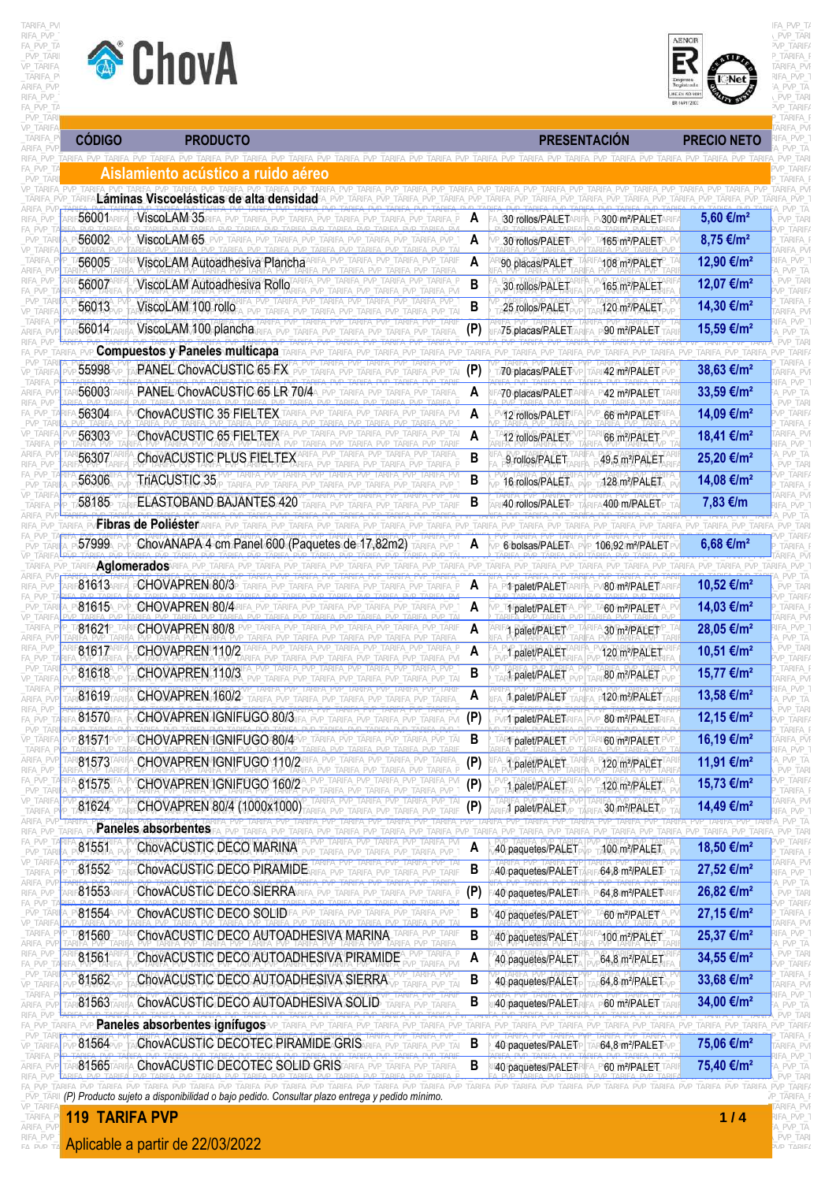



| TARIFA<br>ARIFA PV<br><b>PRESENTACIÓN</b><br><b>PRODUCTO</b><br><b>PRECIO NETO</b><br>fa pvp i<br>'VP TAR<br>TARIF/<br>Aislamiento acústico a ruido aéreo<br>Láminas Viscoelásticas de alta densidad<br>ViscoLAM 35<br>5,60 €/m <sup>2</sup><br>A<br>30 rollos/PALET<br>/300 m2/PALET<br>PVP TARI<br>P TARIF/<br>ViscoLAM 65<br>8,75 €/m <sup>2</sup><br>A<br>30 rollos/PALET<br>465 m <sup>2</sup> /PALET<br>tarifa<br>\RIFA PVI<br>ViscoLAM Autoadhesiva Plancha<br>12,90 €/m <sup>2</sup><br>A<br>ifa pvp<br>90 placas/PALET<br>108 m <sup>2</sup> /PALET<br>. PVP TA<br>B<br>PVP_TAR<br>ViscoLAM Autoadhesiva Rollo<br>12,07 €/m <sup>2</sup><br>56007<br>30 rollos/PALET<br>165 m <sup>2</sup> /PALET<br>/P_TARIF/<br><b>TARIFA</b><br>B<br>ViscoLAM 100 rollo<br>14,30 €/m <sup>2</sup><br>25 rollos/PALET<br>120 m <sup>2</sup> /PALET<br>ARIFA PVI<br>FA PVP<br>56014<br>ViscoLAM 100 plancha<br>15,59 €/m <sup>2</sup><br>(P)<br>75 placas/PALET<br>90 m?/PALET<br>A PVP TA<br><b>Compuestos y Paneles multicapa</b><br><b>TARIE</b><br>PVP TARIE<br>(P)<br>38,63 €/m <sup>2</sup><br>PANEL ChovACUSTIC 65 FX<br>70 placas/PALET<br>42 m?/PALET<br>ARIFA PV<br>FA PVP<br>PANEL ChovACUSTIC 65 LR 70/4<br>33,59 €/m <sup>2</sup><br>A<br>A70 placas/PALET<br>42 m <sup>2</sup> /PALET<br>PVP TA<br>PVP TARI<br>14,09 €/m <sup>2</sup><br>ChovACUSTIC 35 FIELTEX<br>A<br>VP_TARIF/<br>12 rollos/PALET<br>66 m <sup>2</sup> /PALET<br>TARIFA I<br>18,41 €/m <sup>2</sup><br>ChovACUSTIC 65 FIELTEX<br>56303<br>A<br>\RIFA_PVI<br>'VP_TAF<br>66 m <sup>2</sup> /PALET<br>12 rollos/PALET<br>FA PVP<br>_PVP_TA<br>ChovACUSTIC PLUS FIELTEX<br>B<br>56307<br>25,20 €/m <sup>2</sup><br>9 rollos/PALET<br>49,5 m <sup>2</sup> /PALET<br>PVP_TARI<br>P TARIF/<br>TriACUSTIC 35<br>56306<br>B<br>14,08 €/m <sup>2</sup><br>16 rollos/PALET<br>128 m <sup>2</sup> /PALET<br><b>TARIFA</b><br>ARIFA PVI<br>B<br>58185<br><b>ELASTOBAND BAJANTES 420</b><br>7,83 €/m<br>40 rollos/PALET<br>400 m/PALET<br>Fibras de Poliéster<br>ChovANAPA 4 cm Panel 600 (Paquetes de 17,82m2)<br>6,68 €/m <sup>2</sup><br>A<br>6∆bolsas/PALET<br>106.92 m <sup>2</sup> /PALET<br>Aglomerados<br>CHOVAPREN 80/3<br>10,52 €/m <sup>2</sup><br>A<br><b>PMPpalet/PALET</b><br>RIFA_PVI <b>80/m?/PALET</b> /<br>PVP TARI<br>P TARIF/<br>CHOVAPREN 80/4<br>14,03 €/m <sup>2</sup><br>A<br><b>1 palet/PALET</b> A_PVP_1<br>A60/m <sup>2</sup> /PALETA<br>tarifa<br>28,05 €/m <sup>2</sup><br>CHOVAPREN 80/8<br>A<br>ifa pvp :<br>30 m <sup>2</sup> /PALET<br>1 palet/PALET<br>A_PVP_TA<br>10,51 €/m <sup>2</sup><br>CHOVAPREN 110/2<br>A<br>palet/PALET<br>120 m <del>*</del> /PALET<br>VP_TARIFA<br>PVP TARIFA PVP TARIFA PVP TARIFA PVF<br>TARIFA_F<br>ARIFA PVP TARIFA PVP TARIFA PVP<br>CHOVAPREN 110/3<br>B<br>15,77 €/m <sup>2</sup><br>1 palet/PALET<br>80 m <sup>2</sup> /PALET<br>ARIFA_PVF<br>IFA_PVP_1<br>CHOVAPREN 160/2<br>13,58 €/m <sup>2</sup><br>A<br>1 <sub>/</sub> palet/PALET<br>120 m <sup>2</sup> /PALET<br><b>\_PVP_TA</b><br>PVP_TARI<br>CHOVAPREN IGNIFUGO 80/3<br>(P)<br>12,15 €/m <sup>2</sup><br>PVP1Tpalet/PALETR<br>80 m <sup>2</sup> /PALETR<br>VP_TARIF/<br>TARIFA_F<br>CHOVAPREN IGNIFUGO 80/4<br>16,19 €/m <sup>2</sup><br>B<br>RT palet/PALET<br><b>60 m<sup>2</sup>/PALET</b><br>ARIFA_PVF<br>ARIFA PVP TARIFA PVP TAI<br>IFA_PVP_1<br>11,91 €/m <sup>2</sup><br>CHOVAPREN GNIFUGO 110/2<br>(P)<br>\_PVP_TA<br>PVP TARIFA PVP TARIFA<br>120 m <sup>2</sup> /PALET<br>1 palet/PALET<br>PVP_TARI<br>/P_TARIFA<br>CHOVAPREN IGNIFUGO 160/2<br>PVP_TARIFA_PVP_TARIFA_PVI<br>15,73 €/m <sup>2</sup><br>(P)<br>1 palet/PALET<br>120 m <sup>2</sup> /PALET<br>TARIFA_F<br>'P TARIFA PVP TARIFA PVP<br>ARIFA_PVF<br>CHOVAPREN 80/4 (1000x1000)<br>(P)<br>14,49 €/m <sup>2</sup><br>30 m <sup>2</sup> /PALET<br>palet/PALET<br>ifa pvp 1<br>\_PVP_TA<br>Paneles absorbentes<br>PVP TARIFA PVP TAR<br>TARIFA PVP TARIFA PVP TARI<br>P TARIF/<br>ChovACUSTIC DECO MARINA<br>18,50 €/m <sup>2</sup><br>A<br>100 m <sup>2</sup> /PALET<br>40 paquetes/PALET<br>TARIFA I<br>ARIFA_PVI<br>ChovACUSTIC DECO PIRAMIDE<br>B<br>27,52 €/m <sup>2</sup><br>40 paquetes/PALET<br>⁄64,8 m <sup>2</sup> /PALET<br>IFA_PVP_1<br>PVP_TA<br>ChovACUSTIC DECO SIERRA<br>26,82 €/m <sup>2</sup><br>(P)<br>40 paquetes/PALET<br>64,8 m <sup>2</sup> /PALET<br>PVP_TARI<br>vp_tarif <i>i</i><br>27,15 €/m <sup>2</sup><br>ChovACUSTIC DECO SOLIDEALP<br>B<br>TARIFA PVP TARIFA PVP<br>A60 m <sup>2</sup> /PALETA_P\<br>_TARIFA_F<br>40 paquetes/PALET<br>ARIFA_PVF<br>B<br>IFA_PVP_1<br>ChovACUSTIC DECO AUTOADHESIVA MARINA<br>25,37 €/m <sup>2</sup><br>100 m <sup>2</sup> /PALET<br>40 paquetes/PALET<br><b>\_PVP_TA</b><br>PVP_TARI<br>ChovACUSTIC DECO AUTOADHESIVA PIRAMIDE<br>34,55 €/m <sup>2</sup><br>A<br>40 paquetes/PALET<br>64,8 m <sup>2</sup> /PALET<br>VP_TARIF/<br>TARIFA_F<br>B<br>ChovACUSTIC DECO AUTOADHESIVA SIERRA<br>33,68 €/m <sup>2</sup><br>40 paquetes/PALET<br>64,8 m <sup>2</sup> /PALET<br>ARIFA_PVF<br>IFA_PVP_1<br>ChovACUSTIC DECO AUTOADHESIVA SOLID<br>B<br>34,00 €/m <sup>2</sup><br>40 paquetes/PALET<br>60 m <sup>2</sup> /PALET<br><i>A</i> PVP TA<br>PVP_TARI<br>Paneles absorbentes ignifugos<br>TARIFA_PVP_TARIFA_PVP_TARIF<br>ARIFA PVP TARIFA PVP TARIFA<br>TARIFA I<br>ChovACUSTIC DECOTEC PIRAMIDE GRIS<br>B<br>75,06 €/m <sup>2</sup><br>40 paguetes/RALET<br>64,8 m?/PALET<br>ARIFA_PVF<br>IFA_PVP_1<br>ChovACUSTIC DECOTEC SOLID GRIS<br>B<br>75,40 €/m <sup>2</sup><br>40 paquetes/PALETR<br>A_PY60.m?/PALET.<br>A_PVP_TA<br>PVP TARI<br>ΆΡΙΕΔ ΡΜΡ ΤΔΡΙΕΔ ΡΜΡ ΤΑΡΙΕΔ ΡΜΡ ΤΑΡΙΕΔ ΡΜΡ ΤΔΡΙΕΔ ΡΜΡ ΤΑΡΙΕΔ ΡΜΡ ΤΑΡΙΕΔ ΡΜΡ ΤΑΡΙΕΔ ΡΜΡ ΤΑΡΙΕΔ ΡΜΡ ΤΑΡΙΕΔ ΡΜΡ ΤΑΡΙΕΔ ΡΜΡ ΤΑΡΙΕΔ ΡΜΡ ΤΑΡΙΕΔ ΡΜΡ<br>TARIEA PVP TARIEA PVP TARIFA<br>∣ (P) Producto sujeto a disponibilidad o bajo pedido. Consultar plazo entrega y pedido mínimo.<br>/P_TARIFA_F<br><b>TARIFA_PVF</b><br><b>119 TARIFA PVP</b> |               | ChovA |  |  |  | Net<br><b>ME-EN 50 VOL</b><br>ER-16917200 | VP TARIF/<br>d tarifa i<br><b><i>TARIFA PVI</i></b><br>शFA_PVP_'<br>A_PVP_TA<br>PVP_TARI<br><sup>&gt;</sup> VP TARIF/ |
|------------------------------------------------------------------------------------------------------------------------------------------------------------------------------------------------------------------------------------------------------------------------------------------------------------------------------------------------------------------------------------------------------------------------------------------------------------------------------------------------------------------------------------------------------------------------------------------------------------------------------------------------------------------------------------------------------------------------------------------------------------------------------------------------------------------------------------------------------------------------------------------------------------------------------------------------------------------------------------------------------------------------------------------------------------------------------------------------------------------------------------------------------------------------------------------------------------------------------------------------------------------------------------------------------------------------------------------------------------------------------------------------------------------------------------------------------------------------------------------------------------------------------------------------------------------------------------------------------------------------------------------------------------------------------------------------------------------------------------------------------------------------------------------------------------------------------------------------------------------------------------------------------------------------------------------------------------------------------------------------------------------------------------------------------------------------------------------------------------------------------------------------------------------------------------------------------------------------------------------------------------------------------------------------------------------------------------------------------------------------------------------------------------------------------------------------------------------------------------------------------------------------------------------------------------------------------------------------------------------------------------------------------------------------------------------------------------------------------------------------------------------------------------------------------------------------------------------------------------------------------------------------------------------------------------------------------------------------------------------------------------------------------------------------------------------------------------------------------------------------------------------------------------------------------------------------------------------------------------------------------------------------------------------------------------------------------------------------------------------------------------------------------------------------------------------------------------------------------------------------------------------------------------------------------------------------------------------------------------------------------------------------------------------------------------------------------------------------------------------------------------------------------------------------------------------------------------------------------------------------------------------------------------------------------------------------------------------------------------------------------------------------------------------------------------------------------------------------------------------------------------------------------------------------------------------------------------------------------------------------------------------------------------------------------------------------------------------------------------------------------------------------------------------------------------------------------------------------------------------------------------------------------------------------------------------------------------------------------------------------------------------------------------------------------------------------------------------------------------------------------------------------------------------------------------------------------------------------------------------------------------------------------------------------------------------------------------------------------------------------------------------------------------------------------------------------------------------------------------------------------------------------------------------------------------------------------------------------------------------------------------------------------------------------------------------------------------------------------------------------------------------------------------------------------------------------------------------------------------------------------------------------------------------------------------------------------------------------------------------------------------------------------------------------------------------------------------------------------------------------------------------------------------------------------------------------------------------------------------------------------------------------------------------------|---------------|-------|--|--|--|-------------------------------------------|-----------------------------------------------------------------------------------------------------------------------|
|                                                                                                                                                                                                                                                                                                                                                                                                                                                                                                                                                                                                                                                                                                                                                                                                                                                                                                                                                                                                                                                                                                                                                                                                                                                                                                                                                                                                                                                                                                                                                                                                                                                                                                                                                                                                                                                                                                                                                                                                                                                                                                                                                                                                                                                                                                                                                                                                                                                                                                                                                                                                                                                                                                                                                                                                                                                                                                                                                                                                                                                                                                                                                                                                                                                                                                                                                                                                                                                                                                                                                                                                                                                                                                                                                                                                                                                                                                                                                                                                                                                                                                                                                                                                                                                                                                                                                                                                                                                                                                                                                                                                                                                                                                                                                                                                                                                                                                                                                                                                                                                                                                                                                                                                                                                                                                                                                                                                                                                                                                                                                                                                                                                                                                                                                                                                                                                                                                                        | <b>CÓDIGO</b> |       |  |  |  |                                           |                                                                                                                       |
|                                                                                                                                                                                                                                                                                                                                                                                                                                                                                                                                                                                                                                                                                                                                                                                                                                                                                                                                                                                                                                                                                                                                                                                                                                                                                                                                                                                                                                                                                                                                                                                                                                                                                                                                                                                                                                                                                                                                                                                                                                                                                                                                                                                                                                                                                                                                                                                                                                                                                                                                                                                                                                                                                                                                                                                                                                                                                                                                                                                                                                                                                                                                                                                                                                                                                                                                                                                                                                                                                                                                                                                                                                                                                                                                                                                                                                                                                                                                                                                                                                                                                                                                                                                                                                                                                                                                                                                                                                                                                                                                                                                                                                                                                                                                                                                                                                                                                                                                                                                                                                                                                                                                                                                                                                                                                                                                                                                                                                                                                                                                                                                                                                                                                                                                                                                                                                                                                                                        |               |       |  |  |  |                                           |                                                                                                                       |
|                                                                                                                                                                                                                                                                                                                                                                                                                                                                                                                                                                                                                                                                                                                                                                                                                                                                                                                                                                                                                                                                                                                                                                                                                                                                                                                                                                                                                                                                                                                                                                                                                                                                                                                                                                                                                                                                                                                                                                                                                                                                                                                                                                                                                                                                                                                                                                                                                                                                                                                                                                                                                                                                                                                                                                                                                                                                                                                                                                                                                                                                                                                                                                                                                                                                                                                                                                                                                                                                                                                                                                                                                                                                                                                                                                                                                                                                                                                                                                                                                                                                                                                                                                                                                                                                                                                                                                                                                                                                                                                                                                                                                                                                                                                                                                                                                                                                                                                                                                                                                                                                                                                                                                                                                                                                                                                                                                                                                                                                                                                                                                                                                                                                                                                                                                                                                                                                                                                        |               |       |  |  |  |                                           |                                                                                                                       |
|                                                                                                                                                                                                                                                                                                                                                                                                                                                                                                                                                                                                                                                                                                                                                                                                                                                                                                                                                                                                                                                                                                                                                                                                                                                                                                                                                                                                                                                                                                                                                                                                                                                                                                                                                                                                                                                                                                                                                                                                                                                                                                                                                                                                                                                                                                                                                                                                                                                                                                                                                                                                                                                                                                                                                                                                                                                                                                                                                                                                                                                                                                                                                                                                                                                                                                                                                                                                                                                                                                                                                                                                                                                                                                                                                                                                                                                                                                                                                                                                                                                                                                                                                                                                                                                                                                                                                                                                                                                                                                                                                                                                                                                                                                                                                                                                                                                                                                                                                                                                                                                                                                                                                                                                                                                                                                                                                                                                                                                                                                                                                                                                                                                                                                                                                                                                                                                                                                                        | 56001         |       |  |  |  |                                           |                                                                                                                       |
|                                                                                                                                                                                                                                                                                                                                                                                                                                                                                                                                                                                                                                                                                                                                                                                                                                                                                                                                                                                                                                                                                                                                                                                                                                                                                                                                                                                                                                                                                                                                                                                                                                                                                                                                                                                                                                                                                                                                                                                                                                                                                                                                                                                                                                                                                                                                                                                                                                                                                                                                                                                                                                                                                                                                                                                                                                                                                                                                                                                                                                                                                                                                                                                                                                                                                                                                                                                                                                                                                                                                                                                                                                                                                                                                                                                                                                                                                                                                                                                                                                                                                                                                                                                                                                                                                                                                                                                                                                                                                                                                                                                                                                                                                                                                                                                                                                                                                                                                                                                                                                                                                                                                                                                                                                                                                                                                                                                                                                                                                                                                                                                                                                                                                                                                                                                                                                                                                                                        | 56002         |       |  |  |  |                                           |                                                                                                                       |
|                                                                                                                                                                                                                                                                                                                                                                                                                                                                                                                                                                                                                                                                                                                                                                                                                                                                                                                                                                                                                                                                                                                                                                                                                                                                                                                                                                                                                                                                                                                                                                                                                                                                                                                                                                                                                                                                                                                                                                                                                                                                                                                                                                                                                                                                                                                                                                                                                                                                                                                                                                                                                                                                                                                                                                                                                                                                                                                                                                                                                                                                                                                                                                                                                                                                                                                                                                                                                                                                                                                                                                                                                                                                                                                                                                                                                                                                                                                                                                                                                                                                                                                                                                                                                                                                                                                                                                                                                                                                                                                                                                                                                                                                                                                                                                                                                                                                                                                                                                                                                                                                                                                                                                                                                                                                                                                                                                                                                                                                                                                                                                                                                                                                                                                                                                                                                                                                                                                        | 56005         |       |  |  |  |                                           |                                                                                                                       |
|                                                                                                                                                                                                                                                                                                                                                                                                                                                                                                                                                                                                                                                                                                                                                                                                                                                                                                                                                                                                                                                                                                                                                                                                                                                                                                                                                                                                                                                                                                                                                                                                                                                                                                                                                                                                                                                                                                                                                                                                                                                                                                                                                                                                                                                                                                                                                                                                                                                                                                                                                                                                                                                                                                                                                                                                                                                                                                                                                                                                                                                                                                                                                                                                                                                                                                                                                                                                                                                                                                                                                                                                                                                                                                                                                                                                                                                                                                                                                                                                                                                                                                                                                                                                                                                                                                                                                                                                                                                                                                                                                                                                                                                                                                                                                                                                                                                                                                                                                                                                                                                                                                                                                                                                                                                                                                                                                                                                                                                                                                                                                                                                                                                                                                                                                                                                                                                                                                                        |               |       |  |  |  |                                           |                                                                                                                       |
|                                                                                                                                                                                                                                                                                                                                                                                                                                                                                                                                                                                                                                                                                                                                                                                                                                                                                                                                                                                                                                                                                                                                                                                                                                                                                                                                                                                                                                                                                                                                                                                                                                                                                                                                                                                                                                                                                                                                                                                                                                                                                                                                                                                                                                                                                                                                                                                                                                                                                                                                                                                                                                                                                                                                                                                                                                                                                                                                                                                                                                                                                                                                                                                                                                                                                                                                                                                                                                                                                                                                                                                                                                                                                                                                                                                                                                                                                                                                                                                                                                                                                                                                                                                                                                                                                                                                                                                                                                                                                                                                                                                                                                                                                                                                                                                                                                                                                                                                                                                                                                                                                                                                                                                                                                                                                                                                                                                                                                                                                                                                                                                                                                                                                                                                                                                                                                                                                                                        | 56013         |       |  |  |  |                                           |                                                                                                                       |
|                                                                                                                                                                                                                                                                                                                                                                                                                                                                                                                                                                                                                                                                                                                                                                                                                                                                                                                                                                                                                                                                                                                                                                                                                                                                                                                                                                                                                                                                                                                                                                                                                                                                                                                                                                                                                                                                                                                                                                                                                                                                                                                                                                                                                                                                                                                                                                                                                                                                                                                                                                                                                                                                                                                                                                                                                                                                                                                                                                                                                                                                                                                                                                                                                                                                                                                                                                                                                                                                                                                                                                                                                                                                                                                                                                                                                                                                                                                                                                                                                                                                                                                                                                                                                                                                                                                                                                                                                                                                                                                                                                                                                                                                                                                                                                                                                                                                                                                                                                                                                                                                                                                                                                                                                                                                                                                                                                                                                                                                                                                                                                                                                                                                                                                                                                                                                                                                                                                        |               |       |  |  |  |                                           |                                                                                                                       |
|                                                                                                                                                                                                                                                                                                                                                                                                                                                                                                                                                                                                                                                                                                                                                                                                                                                                                                                                                                                                                                                                                                                                                                                                                                                                                                                                                                                                                                                                                                                                                                                                                                                                                                                                                                                                                                                                                                                                                                                                                                                                                                                                                                                                                                                                                                                                                                                                                                                                                                                                                                                                                                                                                                                                                                                                                                                                                                                                                                                                                                                                                                                                                                                                                                                                                                                                                                                                                                                                                                                                                                                                                                                                                                                                                                                                                                                                                                                                                                                                                                                                                                                                                                                                                                                                                                                                                                                                                                                                                                                                                                                                                                                                                                                                                                                                                                                                                                                                                                                                                                                                                                                                                                                                                                                                                                                                                                                                                                                                                                                                                                                                                                                                                                                                                                                                                                                                                                                        |               |       |  |  |  |                                           |                                                                                                                       |
|                                                                                                                                                                                                                                                                                                                                                                                                                                                                                                                                                                                                                                                                                                                                                                                                                                                                                                                                                                                                                                                                                                                                                                                                                                                                                                                                                                                                                                                                                                                                                                                                                                                                                                                                                                                                                                                                                                                                                                                                                                                                                                                                                                                                                                                                                                                                                                                                                                                                                                                                                                                                                                                                                                                                                                                                                                                                                                                                                                                                                                                                                                                                                                                                                                                                                                                                                                                                                                                                                                                                                                                                                                                                                                                                                                                                                                                                                                                                                                                                                                                                                                                                                                                                                                                                                                                                                                                                                                                                                                                                                                                                                                                                                                                                                                                                                                                                                                                                                                                                                                                                                                                                                                                                                                                                                                                                                                                                                                                                                                                                                                                                                                                                                                                                                                                                                                                                                                                        | 55998         |       |  |  |  |                                           |                                                                                                                       |
|                                                                                                                                                                                                                                                                                                                                                                                                                                                                                                                                                                                                                                                                                                                                                                                                                                                                                                                                                                                                                                                                                                                                                                                                                                                                                                                                                                                                                                                                                                                                                                                                                                                                                                                                                                                                                                                                                                                                                                                                                                                                                                                                                                                                                                                                                                                                                                                                                                                                                                                                                                                                                                                                                                                                                                                                                                                                                                                                                                                                                                                                                                                                                                                                                                                                                                                                                                                                                                                                                                                                                                                                                                                                                                                                                                                                                                                                                                                                                                                                                                                                                                                                                                                                                                                                                                                                                                                                                                                                                                                                                                                                                                                                                                                                                                                                                                                                                                                                                                                                                                                                                                                                                                                                                                                                                                                                                                                                                                                                                                                                                                                                                                                                                                                                                                                                                                                                                                                        | 56003         |       |  |  |  |                                           |                                                                                                                       |
|                                                                                                                                                                                                                                                                                                                                                                                                                                                                                                                                                                                                                                                                                                                                                                                                                                                                                                                                                                                                                                                                                                                                                                                                                                                                                                                                                                                                                                                                                                                                                                                                                                                                                                                                                                                                                                                                                                                                                                                                                                                                                                                                                                                                                                                                                                                                                                                                                                                                                                                                                                                                                                                                                                                                                                                                                                                                                                                                                                                                                                                                                                                                                                                                                                                                                                                                                                                                                                                                                                                                                                                                                                                                                                                                                                                                                                                                                                                                                                                                                                                                                                                                                                                                                                                                                                                                                                                                                                                                                                                                                                                                                                                                                                                                                                                                                                                                                                                                                                                                                                                                                                                                                                                                                                                                                                                                                                                                                                                                                                                                                                                                                                                                                                                                                                                                                                                                                                                        | 56304         |       |  |  |  |                                           |                                                                                                                       |
|                                                                                                                                                                                                                                                                                                                                                                                                                                                                                                                                                                                                                                                                                                                                                                                                                                                                                                                                                                                                                                                                                                                                                                                                                                                                                                                                                                                                                                                                                                                                                                                                                                                                                                                                                                                                                                                                                                                                                                                                                                                                                                                                                                                                                                                                                                                                                                                                                                                                                                                                                                                                                                                                                                                                                                                                                                                                                                                                                                                                                                                                                                                                                                                                                                                                                                                                                                                                                                                                                                                                                                                                                                                                                                                                                                                                                                                                                                                                                                                                                                                                                                                                                                                                                                                                                                                                                                                                                                                                                                                                                                                                                                                                                                                                                                                                                                                                                                                                                                                                                                                                                                                                                                                                                                                                                                                                                                                                                                                                                                                                                                                                                                                                                                                                                                                                                                                                                                                        |               |       |  |  |  |                                           |                                                                                                                       |
|                                                                                                                                                                                                                                                                                                                                                                                                                                                                                                                                                                                                                                                                                                                                                                                                                                                                                                                                                                                                                                                                                                                                                                                                                                                                                                                                                                                                                                                                                                                                                                                                                                                                                                                                                                                                                                                                                                                                                                                                                                                                                                                                                                                                                                                                                                                                                                                                                                                                                                                                                                                                                                                                                                                                                                                                                                                                                                                                                                                                                                                                                                                                                                                                                                                                                                                                                                                                                                                                                                                                                                                                                                                                                                                                                                                                                                                                                                                                                                                                                                                                                                                                                                                                                                                                                                                                                                                                                                                                                                                                                                                                                                                                                                                                                                                                                                                                                                                                                                                                                                                                                                                                                                                                                                                                                                                                                                                                                                                                                                                                                                                                                                                                                                                                                                                                                                                                                                                        |               |       |  |  |  |                                           |                                                                                                                       |
|                                                                                                                                                                                                                                                                                                                                                                                                                                                                                                                                                                                                                                                                                                                                                                                                                                                                                                                                                                                                                                                                                                                                                                                                                                                                                                                                                                                                                                                                                                                                                                                                                                                                                                                                                                                                                                                                                                                                                                                                                                                                                                                                                                                                                                                                                                                                                                                                                                                                                                                                                                                                                                                                                                                                                                                                                                                                                                                                                                                                                                                                                                                                                                                                                                                                                                                                                                                                                                                                                                                                                                                                                                                                                                                                                                                                                                                                                                                                                                                                                                                                                                                                                                                                                                                                                                                                                                                                                                                                                                                                                                                                                                                                                                                                                                                                                                                                                                                                                                                                                                                                                                                                                                                                                                                                                                                                                                                                                                                                                                                                                                                                                                                                                                                                                                                                                                                                                                                        |               |       |  |  |  |                                           |                                                                                                                       |
|                                                                                                                                                                                                                                                                                                                                                                                                                                                                                                                                                                                                                                                                                                                                                                                                                                                                                                                                                                                                                                                                                                                                                                                                                                                                                                                                                                                                                                                                                                                                                                                                                                                                                                                                                                                                                                                                                                                                                                                                                                                                                                                                                                                                                                                                                                                                                                                                                                                                                                                                                                                                                                                                                                                                                                                                                                                                                                                                                                                                                                                                                                                                                                                                                                                                                                                                                                                                                                                                                                                                                                                                                                                                                                                                                                                                                                                                                                                                                                                                                                                                                                                                                                                                                                                                                                                                                                                                                                                                                                                                                                                                                                                                                                                                                                                                                                                                                                                                                                                                                                                                                                                                                                                                                                                                                                                                                                                                                                                                                                                                                                                                                                                                                                                                                                                                                                                                                                                        |               |       |  |  |  |                                           |                                                                                                                       |
|                                                                                                                                                                                                                                                                                                                                                                                                                                                                                                                                                                                                                                                                                                                                                                                                                                                                                                                                                                                                                                                                                                                                                                                                                                                                                                                                                                                                                                                                                                                                                                                                                                                                                                                                                                                                                                                                                                                                                                                                                                                                                                                                                                                                                                                                                                                                                                                                                                                                                                                                                                                                                                                                                                                                                                                                                                                                                                                                                                                                                                                                                                                                                                                                                                                                                                                                                                                                                                                                                                                                                                                                                                                                                                                                                                                                                                                                                                                                                                                                                                                                                                                                                                                                                                                                                                                                                                                                                                                                                                                                                                                                                                                                                                                                                                                                                                                                                                                                                                                                                                                                                                                                                                                                                                                                                                                                                                                                                                                                                                                                                                                                                                                                                                                                                                                                                                                                                                                        |               |       |  |  |  |                                           |                                                                                                                       |
|                                                                                                                                                                                                                                                                                                                                                                                                                                                                                                                                                                                                                                                                                                                                                                                                                                                                                                                                                                                                                                                                                                                                                                                                                                                                                                                                                                                                                                                                                                                                                                                                                                                                                                                                                                                                                                                                                                                                                                                                                                                                                                                                                                                                                                                                                                                                                                                                                                                                                                                                                                                                                                                                                                                                                                                                                                                                                                                                                                                                                                                                                                                                                                                                                                                                                                                                                                                                                                                                                                                                                                                                                                                                                                                                                                                                                                                                                                                                                                                                                                                                                                                                                                                                                                                                                                                                                                                                                                                                                                                                                                                                                                                                                                                                                                                                                                                                                                                                                                                                                                                                                                                                                                                                                                                                                                                                                                                                                                                                                                                                                                                                                                                                                                                                                                                                                                                                                                                        | 57999         |       |  |  |  |                                           |                                                                                                                       |
|                                                                                                                                                                                                                                                                                                                                                                                                                                                                                                                                                                                                                                                                                                                                                                                                                                                                                                                                                                                                                                                                                                                                                                                                                                                                                                                                                                                                                                                                                                                                                                                                                                                                                                                                                                                                                                                                                                                                                                                                                                                                                                                                                                                                                                                                                                                                                                                                                                                                                                                                                                                                                                                                                                                                                                                                                                                                                                                                                                                                                                                                                                                                                                                                                                                                                                                                                                                                                                                                                                                                                                                                                                                                                                                                                                                                                                                                                                                                                                                                                                                                                                                                                                                                                                                                                                                                                                                                                                                                                                                                                                                                                                                                                                                                                                                                                                                                                                                                                                                                                                                                                                                                                                                                                                                                                                                                                                                                                                                                                                                                                                                                                                                                                                                                                                                                                                                                                                                        |               |       |  |  |  |                                           |                                                                                                                       |
|                                                                                                                                                                                                                                                                                                                                                                                                                                                                                                                                                                                                                                                                                                                                                                                                                                                                                                                                                                                                                                                                                                                                                                                                                                                                                                                                                                                                                                                                                                                                                                                                                                                                                                                                                                                                                                                                                                                                                                                                                                                                                                                                                                                                                                                                                                                                                                                                                                                                                                                                                                                                                                                                                                                                                                                                                                                                                                                                                                                                                                                                                                                                                                                                                                                                                                                                                                                                                                                                                                                                                                                                                                                                                                                                                                                                                                                                                                                                                                                                                                                                                                                                                                                                                                                                                                                                                                                                                                                                                                                                                                                                                                                                                                                                                                                                                                                                                                                                                                                                                                                                                                                                                                                                                                                                                                                                                                                                                                                                                                                                                                                                                                                                                                                                                                                                                                                                                                                        | 81613         |       |  |  |  |                                           |                                                                                                                       |
|                                                                                                                                                                                                                                                                                                                                                                                                                                                                                                                                                                                                                                                                                                                                                                                                                                                                                                                                                                                                                                                                                                                                                                                                                                                                                                                                                                                                                                                                                                                                                                                                                                                                                                                                                                                                                                                                                                                                                                                                                                                                                                                                                                                                                                                                                                                                                                                                                                                                                                                                                                                                                                                                                                                                                                                                                                                                                                                                                                                                                                                                                                                                                                                                                                                                                                                                                                                                                                                                                                                                                                                                                                                                                                                                                                                                                                                                                                                                                                                                                                                                                                                                                                                                                                                                                                                                                                                                                                                                                                                                                                                                                                                                                                                                                                                                                                                                                                                                                                                                                                                                                                                                                                                                                                                                                                                                                                                                                                                                                                                                                                                                                                                                                                                                                                                                                                                                                                                        | 81615         |       |  |  |  |                                           |                                                                                                                       |
|                                                                                                                                                                                                                                                                                                                                                                                                                                                                                                                                                                                                                                                                                                                                                                                                                                                                                                                                                                                                                                                                                                                                                                                                                                                                                                                                                                                                                                                                                                                                                                                                                                                                                                                                                                                                                                                                                                                                                                                                                                                                                                                                                                                                                                                                                                                                                                                                                                                                                                                                                                                                                                                                                                                                                                                                                                                                                                                                                                                                                                                                                                                                                                                                                                                                                                                                                                                                                                                                                                                                                                                                                                                                                                                                                                                                                                                                                                                                                                                                                                                                                                                                                                                                                                                                                                                                                                                                                                                                                                                                                                                                                                                                                                                                                                                                                                                                                                                                                                                                                                                                                                                                                                                                                                                                                                                                                                                                                                                                                                                                                                                                                                                                                                                                                                                                                                                                                                                        | 81621         |       |  |  |  |                                           |                                                                                                                       |
|                                                                                                                                                                                                                                                                                                                                                                                                                                                                                                                                                                                                                                                                                                                                                                                                                                                                                                                                                                                                                                                                                                                                                                                                                                                                                                                                                                                                                                                                                                                                                                                                                                                                                                                                                                                                                                                                                                                                                                                                                                                                                                                                                                                                                                                                                                                                                                                                                                                                                                                                                                                                                                                                                                                                                                                                                                                                                                                                                                                                                                                                                                                                                                                                                                                                                                                                                                                                                                                                                                                                                                                                                                                                                                                                                                                                                                                                                                                                                                                                                                                                                                                                                                                                                                                                                                                                                                                                                                                                                                                                                                                                                                                                                                                                                                                                                                                                                                                                                                                                                                                                                                                                                                                                                                                                                                                                                                                                                                                                                                                                                                                                                                                                                                                                                                                                                                                                                                                        | 81617         |       |  |  |  |                                           |                                                                                                                       |
|                                                                                                                                                                                                                                                                                                                                                                                                                                                                                                                                                                                                                                                                                                                                                                                                                                                                                                                                                                                                                                                                                                                                                                                                                                                                                                                                                                                                                                                                                                                                                                                                                                                                                                                                                                                                                                                                                                                                                                                                                                                                                                                                                                                                                                                                                                                                                                                                                                                                                                                                                                                                                                                                                                                                                                                                                                                                                                                                                                                                                                                                                                                                                                                                                                                                                                                                                                                                                                                                                                                                                                                                                                                                                                                                                                                                                                                                                                                                                                                                                                                                                                                                                                                                                                                                                                                                                                                                                                                                                                                                                                                                                                                                                                                                                                                                                                                                                                                                                                                                                                                                                                                                                                                                                                                                                                                                                                                                                                                                                                                                                                                                                                                                                                                                                                                                                                                                                                                        | 81618         |       |  |  |  |                                           |                                                                                                                       |
|                                                                                                                                                                                                                                                                                                                                                                                                                                                                                                                                                                                                                                                                                                                                                                                                                                                                                                                                                                                                                                                                                                                                                                                                                                                                                                                                                                                                                                                                                                                                                                                                                                                                                                                                                                                                                                                                                                                                                                                                                                                                                                                                                                                                                                                                                                                                                                                                                                                                                                                                                                                                                                                                                                                                                                                                                                                                                                                                                                                                                                                                                                                                                                                                                                                                                                                                                                                                                                                                                                                                                                                                                                                                                                                                                                                                                                                                                                                                                                                                                                                                                                                                                                                                                                                                                                                                                                                                                                                                                                                                                                                                                                                                                                                                                                                                                                                                                                                                                                                                                                                                                                                                                                                                                                                                                                                                                                                                                                                                                                                                                                                                                                                                                                                                                                                                                                                                                                                        | 81619         |       |  |  |  |                                           |                                                                                                                       |
|                                                                                                                                                                                                                                                                                                                                                                                                                                                                                                                                                                                                                                                                                                                                                                                                                                                                                                                                                                                                                                                                                                                                                                                                                                                                                                                                                                                                                                                                                                                                                                                                                                                                                                                                                                                                                                                                                                                                                                                                                                                                                                                                                                                                                                                                                                                                                                                                                                                                                                                                                                                                                                                                                                                                                                                                                                                                                                                                                                                                                                                                                                                                                                                                                                                                                                                                                                                                                                                                                                                                                                                                                                                                                                                                                                                                                                                                                                                                                                                                                                                                                                                                                                                                                                                                                                                                                                                                                                                                                                                                                                                                                                                                                                                                                                                                                                                                                                                                                                                                                                                                                                                                                                                                                                                                                                                                                                                                                                                                                                                                                                                                                                                                                                                                                                                                                                                                                                                        | 81570         |       |  |  |  |                                           |                                                                                                                       |
|                                                                                                                                                                                                                                                                                                                                                                                                                                                                                                                                                                                                                                                                                                                                                                                                                                                                                                                                                                                                                                                                                                                                                                                                                                                                                                                                                                                                                                                                                                                                                                                                                                                                                                                                                                                                                                                                                                                                                                                                                                                                                                                                                                                                                                                                                                                                                                                                                                                                                                                                                                                                                                                                                                                                                                                                                                                                                                                                                                                                                                                                                                                                                                                                                                                                                                                                                                                                                                                                                                                                                                                                                                                                                                                                                                                                                                                                                                                                                                                                                                                                                                                                                                                                                                                                                                                                                                                                                                                                                                                                                                                                                                                                                                                                                                                                                                                                                                                                                                                                                                                                                                                                                                                                                                                                                                                                                                                                                                                                                                                                                                                                                                                                                                                                                                                                                                                                                                                        | 84571P        |       |  |  |  |                                           |                                                                                                                       |
|                                                                                                                                                                                                                                                                                                                                                                                                                                                                                                                                                                                                                                                                                                                                                                                                                                                                                                                                                                                                                                                                                                                                                                                                                                                                                                                                                                                                                                                                                                                                                                                                                                                                                                                                                                                                                                                                                                                                                                                                                                                                                                                                                                                                                                                                                                                                                                                                                                                                                                                                                                                                                                                                                                                                                                                                                                                                                                                                                                                                                                                                                                                                                                                                                                                                                                                                                                                                                                                                                                                                                                                                                                                                                                                                                                                                                                                                                                                                                                                                                                                                                                                                                                                                                                                                                                                                                                                                                                                                                                                                                                                                                                                                                                                                                                                                                                                                                                                                                                                                                                                                                                                                                                                                                                                                                                                                                                                                                                                                                                                                                                                                                                                                                                                                                                                                                                                                                                                        | 81573         |       |  |  |  |                                           |                                                                                                                       |
|                                                                                                                                                                                                                                                                                                                                                                                                                                                                                                                                                                                                                                                                                                                                                                                                                                                                                                                                                                                                                                                                                                                                                                                                                                                                                                                                                                                                                                                                                                                                                                                                                                                                                                                                                                                                                                                                                                                                                                                                                                                                                                                                                                                                                                                                                                                                                                                                                                                                                                                                                                                                                                                                                                                                                                                                                                                                                                                                                                                                                                                                                                                                                                                                                                                                                                                                                                                                                                                                                                                                                                                                                                                                                                                                                                                                                                                                                                                                                                                                                                                                                                                                                                                                                                                                                                                                                                                                                                                                                                                                                                                                                                                                                                                                                                                                                                                                                                                                                                                                                                                                                                                                                                                                                                                                                                                                                                                                                                                                                                                                                                                                                                                                                                                                                                                                                                                                                                                        | 81575         |       |  |  |  |                                           |                                                                                                                       |
|                                                                                                                                                                                                                                                                                                                                                                                                                                                                                                                                                                                                                                                                                                                                                                                                                                                                                                                                                                                                                                                                                                                                                                                                                                                                                                                                                                                                                                                                                                                                                                                                                                                                                                                                                                                                                                                                                                                                                                                                                                                                                                                                                                                                                                                                                                                                                                                                                                                                                                                                                                                                                                                                                                                                                                                                                                                                                                                                                                                                                                                                                                                                                                                                                                                                                                                                                                                                                                                                                                                                                                                                                                                                                                                                                                                                                                                                                                                                                                                                                                                                                                                                                                                                                                                                                                                                                                                                                                                                                                                                                                                                                                                                                                                                                                                                                                                                                                                                                                                                                                                                                                                                                                                                                                                                                                                                                                                                                                                                                                                                                                                                                                                                                                                                                                                                                                                                                                                        | 81624         |       |  |  |  |                                           |                                                                                                                       |
|                                                                                                                                                                                                                                                                                                                                                                                                                                                                                                                                                                                                                                                                                                                                                                                                                                                                                                                                                                                                                                                                                                                                                                                                                                                                                                                                                                                                                                                                                                                                                                                                                                                                                                                                                                                                                                                                                                                                                                                                                                                                                                                                                                                                                                                                                                                                                                                                                                                                                                                                                                                                                                                                                                                                                                                                                                                                                                                                                                                                                                                                                                                                                                                                                                                                                                                                                                                                                                                                                                                                                                                                                                                                                                                                                                                                                                                                                                                                                                                                                                                                                                                                                                                                                                                                                                                                                                                                                                                                                                                                                                                                                                                                                                                                                                                                                                                                                                                                                                                                                                                                                                                                                                                                                                                                                                                                                                                                                                                                                                                                                                                                                                                                                                                                                                                                                                                                                                                        |               |       |  |  |  |                                           |                                                                                                                       |
|                                                                                                                                                                                                                                                                                                                                                                                                                                                                                                                                                                                                                                                                                                                                                                                                                                                                                                                                                                                                                                                                                                                                                                                                                                                                                                                                                                                                                                                                                                                                                                                                                                                                                                                                                                                                                                                                                                                                                                                                                                                                                                                                                                                                                                                                                                                                                                                                                                                                                                                                                                                                                                                                                                                                                                                                                                                                                                                                                                                                                                                                                                                                                                                                                                                                                                                                                                                                                                                                                                                                                                                                                                                                                                                                                                                                                                                                                                                                                                                                                                                                                                                                                                                                                                                                                                                                                                                                                                                                                                                                                                                                                                                                                                                                                                                                                                                                                                                                                                                                                                                                                                                                                                                                                                                                                                                                                                                                                                                                                                                                                                                                                                                                                                                                                                                                                                                                                                                        | 81551         |       |  |  |  |                                           |                                                                                                                       |
|                                                                                                                                                                                                                                                                                                                                                                                                                                                                                                                                                                                                                                                                                                                                                                                                                                                                                                                                                                                                                                                                                                                                                                                                                                                                                                                                                                                                                                                                                                                                                                                                                                                                                                                                                                                                                                                                                                                                                                                                                                                                                                                                                                                                                                                                                                                                                                                                                                                                                                                                                                                                                                                                                                                                                                                                                                                                                                                                                                                                                                                                                                                                                                                                                                                                                                                                                                                                                                                                                                                                                                                                                                                                                                                                                                                                                                                                                                                                                                                                                                                                                                                                                                                                                                                                                                                                                                                                                                                                                                                                                                                                                                                                                                                                                                                                                                                                                                                                                                                                                                                                                                                                                                                                                                                                                                                                                                                                                                                                                                                                                                                                                                                                                                                                                                                                                                                                                                                        | 81552         |       |  |  |  |                                           |                                                                                                                       |
|                                                                                                                                                                                                                                                                                                                                                                                                                                                                                                                                                                                                                                                                                                                                                                                                                                                                                                                                                                                                                                                                                                                                                                                                                                                                                                                                                                                                                                                                                                                                                                                                                                                                                                                                                                                                                                                                                                                                                                                                                                                                                                                                                                                                                                                                                                                                                                                                                                                                                                                                                                                                                                                                                                                                                                                                                                                                                                                                                                                                                                                                                                                                                                                                                                                                                                                                                                                                                                                                                                                                                                                                                                                                                                                                                                                                                                                                                                                                                                                                                                                                                                                                                                                                                                                                                                                                                                                                                                                                                                                                                                                                                                                                                                                                                                                                                                                                                                                                                                                                                                                                                                                                                                                                                                                                                                                                                                                                                                                                                                                                                                                                                                                                                                                                                                                                                                                                                                                        | 81553         |       |  |  |  |                                           |                                                                                                                       |
|                                                                                                                                                                                                                                                                                                                                                                                                                                                                                                                                                                                                                                                                                                                                                                                                                                                                                                                                                                                                                                                                                                                                                                                                                                                                                                                                                                                                                                                                                                                                                                                                                                                                                                                                                                                                                                                                                                                                                                                                                                                                                                                                                                                                                                                                                                                                                                                                                                                                                                                                                                                                                                                                                                                                                                                                                                                                                                                                                                                                                                                                                                                                                                                                                                                                                                                                                                                                                                                                                                                                                                                                                                                                                                                                                                                                                                                                                                                                                                                                                                                                                                                                                                                                                                                                                                                                                                                                                                                                                                                                                                                                                                                                                                                                                                                                                                                                                                                                                                                                                                                                                                                                                                                                                                                                                                                                                                                                                                                                                                                                                                                                                                                                                                                                                                                                                                                                                                                        | 81554         |       |  |  |  |                                           |                                                                                                                       |
|                                                                                                                                                                                                                                                                                                                                                                                                                                                                                                                                                                                                                                                                                                                                                                                                                                                                                                                                                                                                                                                                                                                                                                                                                                                                                                                                                                                                                                                                                                                                                                                                                                                                                                                                                                                                                                                                                                                                                                                                                                                                                                                                                                                                                                                                                                                                                                                                                                                                                                                                                                                                                                                                                                                                                                                                                                                                                                                                                                                                                                                                                                                                                                                                                                                                                                                                                                                                                                                                                                                                                                                                                                                                                                                                                                                                                                                                                                                                                                                                                                                                                                                                                                                                                                                                                                                                                                                                                                                                                                                                                                                                                                                                                                                                                                                                                                                                                                                                                                                                                                                                                                                                                                                                                                                                                                                                                                                                                                                                                                                                                                                                                                                                                                                                                                                                                                                                                                                        | 81560         |       |  |  |  |                                           |                                                                                                                       |
|                                                                                                                                                                                                                                                                                                                                                                                                                                                                                                                                                                                                                                                                                                                                                                                                                                                                                                                                                                                                                                                                                                                                                                                                                                                                                                                                                                                                                                                                                                                                                                                                                                                                                                                                                                                                                                                                                                                                                                                                                                                                                                                                                                                                                                                                                                                                                                                                                                                                                                                                                                                                                                                                                                                                                                                                                                                                                                                                                                                                                                                                                                                                                                                                                                                                                                                                                                                                                                                                                                                                                                                                                                                                                                                                                                                                                                                                                                                                                                                                                                                                                                                                                                                                                                                                                                                                                                                                                                                                                                                                                                                                                                                                                                                                                                                                                                                                                                                                                                                                                                                                                                                                                                                                                                                                                                                                                                                                                                                                                                                                                                                                                                                                                                                                                                                                                                                                                                                        | 81561         |       |  |  |  |                                           |                                                                                                                       |
|                                                                                                                                                                                                                                                                                                                                                                                                                                                                                                                                                                                                                                                                                                                                                                                                                                                                                                                                                                                                                                                                                                                                                                                                                                                                                                                                                                                                                                                                                                                                                                                                                                                                                                                                                                                                                                                                                                                                                                                                                                                                                                                                                                                                                                                                                                                                                                                                                                                                                                                                                                                                                                                                                                                                                                                                                                                                                                                                                                                                                                                                                                                                                                                                                                                                                                                                                                                                                                                                                                                                                                                                                                                                                                                                                                                                                                                                                                                                                                                                                                                                                                                                                                                                                                                                                                                                                                                                                                                                                                                                                                                                                                                                                                                                                                                                                                                                                                                                                                                                                                                                                                                                                                                                                                                                                                                                                                                                                                                                                                                                                                                                                                                                                                                                                                                                                                                                                                                        | 81562         |       |  |  |  |                                           |                                                                                                                       |
|                                                                                                                                                                                                                                                                                                                                                                                                                                                                                                                                                                                                                                                                                                                                                                                                                                                                                                                                                                                                                                                                                                                                                                                                                                                                                                                                                                                                                                                                                                                                                                                                                                                                                                                                                                                                                                                                                                                                                                                                                                                                                                                                                                                                                                                                                                                                                                                                                                                                                                                                                                                                                                                                                                                                                                                                                                                                                                                                                                                                                                                                                                                                                                                                                                                                                                                                                                                                                                                                                                                                                                                                                                                                                                                                                                                                                                                                                                                                                                                                                                                                                                                                                                                                                                                                                                                                                                                                                                                                                                                                                                                                                                                                                                                                                                                                                                                                                                                                                                                                                                                                                                                                                                                                                                                                                                                                                                                                                                                                                                                                                                                                                                                                                                                                                                                                                                                                                                                        | 81563         |       |  |  |  |                                           |                                                                                                                       |
|                                                                                                                                                                                                                                                                                                                                                                                                                                                                                                                                                                                                                                                                                                                                                                                                                                                                                                                                                                                                                                                                                                                                                                                                                                                                                                                                                                                                                                                                                                                                                                                                                                                                                                                                                                                                                                                                                                                                                                                                                                                                                                                                                                                                                                                                                                                                                                                                                                                                                                                                                                                                                                                                                                                                                                                                                                                                                                                                                                                                                                                                                                                                                                                                                                                                                                                                                                                                                                                                                                                                                                                                                                                                                                                                                                                                                                                                                                                                                                                                                                                                                                                                                                                                                                                                                                                                                                                                                                                                                                                                                                                                                                                                                                                                                                                                                                                                                                                                                                                                                                                                                                                                                                                                                                                                                                                                                                                                                                                                                                                                                                                                                                                                                                                                                                                                                                                                                                                        |               |       |  |  |  |                                           |                                                                                                                       |
|                                                                                                                                                                                                                                                                                                                                                                                                                                                                                                                                                                                                                                                                                                                                                                                                                                                                                                                                                                                                                                                                                                                                                                                                                                                                                                                                                                                                                                                                                                                                                                                                                                                                                                                                                                                                                                                                                                                                                                                                                                                                                                                                                                                                                                                                                                                                                                                                                                                                                                                                                                                                                                                                                                                                                                                                                                                                                                                                                                                                                                                                                                                                                                                                                                                                                                                                                                                                                                                                                                                                                                                                                                                                                                                                                                                                                                                                                                                                                                                                                                                                                                                                                                                                                                                                                                                                                                                                                                                                                                                                                                                                                                                                                                                                                                                                                                                                                                                                                                                                                                                                                                                                                                                                                                                                                                                                                                                                                                                                                                                                                                                                                                                                                                                                                                                                                                                                                                                        | 81564         |       |  |  |  |                                           |                                                                                                                       |
|                                                                                                                                                                                                                                                                                                                                                                                                                                                                                                                                                                                                                                                                                                                                                                                                                                                                                                                                                                                                                                                                                                                                                                                                                                                                                                                                                                                                                                                                                                                                                                                                                                                                                                                                                                                                                                                                                                                                                                                                                                                                                                                                                                                                                                                                                                                                                                                                                                                                                                                                                                                                                                                                                                                                                                                                                                                                                                                                                                                                                                                                                                                                                                                                                                                                                                                                                                                                                                                                                                                                                                                                                                                                                                                                                                                                                                                                                                                                                                                                                                                                                                                                                                                                                                                                                                                                                                                                                                                                                                                                                                                                                                                                                                                                                                                                                                                                                                                                                                                                                                                                                                                                                                                                                                                                                                                                                                                                                                                                                                                                                                                                                                                                                                                                                                                                                                                                                                                        | 81565         |       |  |  |  |                                           |                                                                                                                       |
|                                                                                                                                                                                                                                                                                                                                                                                                                                                                                                                                                                                                                                                                                                                                                                                                                                                                                                                                                                                                                                                                                                                                                                                                                                                                                                                                                                                                                                                                                                                                                                                                                                                                                                                                                                                                                                                                                                                                                                                                                                                                                                                                                                                                                                                                                                                                                                                                                                                                                                                                                                                                                                                                                                                                                                                                                                                                                                                                                                                                                                                                                                                                                                                                                                                                                                                                                                                                                                                                                                                                                                                                                                                                                                                                                                                                                                                                                                                                                                                                                                                                                                                                                                                                                                                                                                                                                                                                                                                                                                                                                                                                                                                                                                                                                                                                                                                                                                                                                                                                                                                                                                                                                                                                                                                                                                                                                                                                                                                                                                                                                                                                                                                                                                                                                                                                                                                                                                                        |               |       |  |  |  |                                           |                                                                                                                       |
|                                                                                                                                                                                                                                                                                                                                                                                                                                                                                                                                                                                                                                                                                                                                                                                                                                                                                                                                                                                                                                                                                                                                                                                                                                                                                                                                                                                                                                                                                                                                                                                                                                                                                                                                                                                                                                                                                                                                                                                                                                                                                                                                                                                                                                                                                                                                                                                                                                                                                                                                                                                                                                                                                                                                                                                                                                                                                                                                                                                                                                                                                                                                                                                                                                                                                                                                                                                                                                                                                                                                                                                                                                                                                                                                                                                                                                                                                                                                                                                                                                                                                                                                                                                                                                                                                                                                                                                                                                                                                                                                                                                                                                                                                                                                                                                                                                                                                                                                                                                                                                                                                                                                                                                                                                                                                                                                                                                                                                                                                                                                                                                                                                                                                                                                                                                                                                                                                                                        |               |       |  |  |  | 1/4                                       | <b>RIFA PVP</b>                                                                                                       |

VP\_TARIFA\_PVP\_TARIFA\_PVP\_TARIFA\_PVP\_TARIFA\_PVP\_TARIFA\_PVP\_TARIFA\_PVP\_TARIFA\_PVP\_TARIFA\_PVP\_TARIFA\_PVP\_TARIFA\_PVP\_TARIFA\_PVP\_TARIFA\_PVP\_TARIFA\_PVP\_TARIFA\_PVP\_TARIFA\_PVP\_TARIFA\_PVP\_TARIFA\_PVP \_TARIFA\_PVP\_TARIFA\_PVP\_TARIFA\_PVP\_TARIFA\_PVP\_TARIFA\_PVP\_TARIFA\_PVP\_TARIFA\_PVP\_TARIFA\_PVP\_TARIFA\_PVP\_TARIFA\_PVP\_TARIFA\_PVP\_TARIFA\_PVP\_TARIFA\_PVP\_TARIFA\_PVP\_TARIFA\_PVP\_TARIFA\_PVP\_TARIFA\_PVP\_T **119 TARIFA PVP 1 / 4** ARIFA\_PVP<mark>\_</mark>II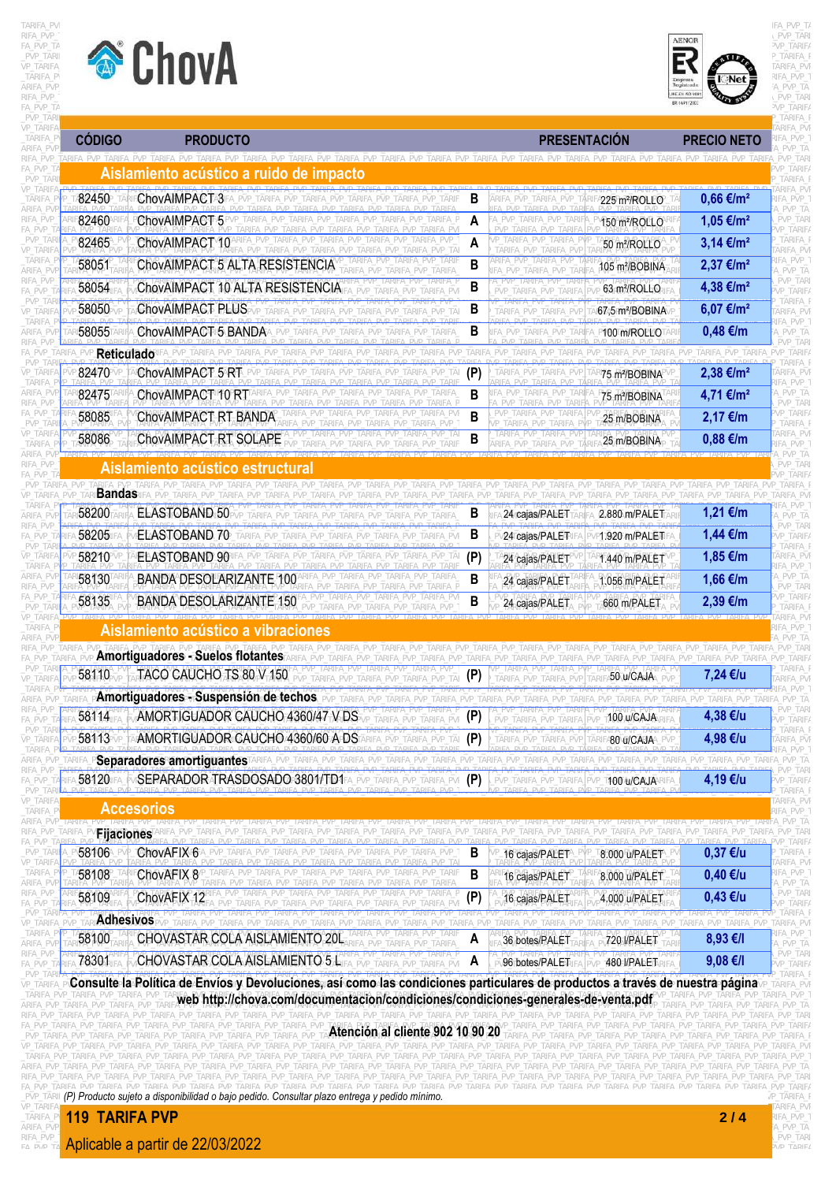



| <b>CÓDIGO</b>          | <b>PRODUCTO</b>                                                                                      |                                  | <b>PRESENTACIÓN</b>                                                                           |                             | <b>PRECIO NETO</b>                                               |                              |
|------------------------|------------------------------------------------------------------------------------------------------|----------------------------------|-----------------------------------------------------------------------------------------------|-----------------------------|------------------------------------------------------------------|------------------------------|
|                        | IFA PVP TARIEA PVP TARIEA PVP TARIEA PVP TARIEA PVP TARIE<br>Aislamiento acústico a ruido de impacto |                                  |                                                                                               |                             |                                                                  |                              |
| 82450                  | ChovAIMPACTA3                                                                                        | В                                |                                                                                               | 225 m <sup>2</sup> /ROLEO   | $0,66 \in /m^2$                                                  |                              |
| 82460                  | ChovAIMPACT 5                                                                                        | A<br>PVP TARIFA P                |                                                                                               | 150 m <sup>2</sup> /ROLLO   | 1,05 €/m <sup>2</sup>                                            | PVP TA<br>PVP_TARI           |
| 82465                  | ChovAIMPACT 10                                                                                       | A                                |                                                                                               | 50 m <sup>2</sup> /ROLLO    | 3,14 €/m <sup>2</sup>                                            |                              |
| 58051                  | ChovAIMPACT 5 ALTA RESISTENCIA                                                                       | B                                |                                                                                               | 105 m <sup>2</sup> /BOBINA  | $2,37$ €/m <sup>2</sup>                                          | ARIFA PV<br>FA PVP<br>PVP TA |
| 58054                  | ChovAIMPACT 10 ALTA RESISTENCIA                                                                      | B                                |                                                                                               | 63 m <sup>2</sup> /ROLLO    | 4,38 €/m <sup>2</sup>                                            | PVP TARI<br>/P_TARIF/        |
| 58050                  | ChovAIMPACT PLUS                                                                                     | B                                |                                                                                               | 67,5 m <sup>2</sup> /BOBINA | 6,07 €/m <sup>2</sup>                                            | ARIFA PVI                    |
| 58055                  | ChovAIMPACT 5 BANDA                                                                                  | B                                |                                                                                               | P100 m/ROLLOTA              | $0,48 \in$ /m                                                    | . PVP TA                     |
| <b>Reticulado</b>      |                                                                                                      |                                  |                                                                                               | 'P TARIFA PVP TARIFA        | TARIFA PVP TARIFA PVP                                            |                              |
| 82470                  | ChovAIMPACT 5 RT                                                                                     | (P)                              |                                                                                               | 75 m <sup>2</sup> /BOBINA   | 2,38 €/m <sup>2</sup>                                            | \RIFA PVI                    |
| 82475                  | ChovAIMPACT 10 RT                                                                                    | B                                |                                                                                               | 75 m <sup>2</sup> /BOBINA   | 4,71 €/m <sup>2</sup>                                            |                              |
| 58085                  | ChovAIMPACT RT BANDA                                                                                 | B                                |                                                                                               | 25 m/BOBINA                 | $2,17 \in$ /m                                                    | PVP TARI<br>/P_TARIF/        |
| 58086                  | ChovAIMPACT RT SOLAPE                                                                                |                                  |                                                                                               | 25 m/BOBINA                 | 0,88 €/m                                                         |                              |
|                        |                                                                                                      |                                  |                                                                                               |                             |                                                                  | PVP TA<br>'VP TARI           |
|                        | <u>Aislamiento acústico estructura</u>                                                               |                                  |                                                                                               |                             |                                                                  |                              |
| <b>Bandas</b><br>58200 | ELASTOBAND 50                                                                                        |                                  |                                                                                               |                             |                                                                  |                              |
|                        |                                                                                                      | В                                | 24 cajas/PALET                                                                                | 2.880 m/PALET               | 1,21 €/m                                                         | <b>TARI</b>                  |
| 58205                  | ELASTOBAND 70                                                                                        | B                                | 24 cajas/PALE <sup>T</sup>                                                                    | P1.920 m/PALET              | 1,44 €/m                                                         | /P TARIF/                    |
| 58210                  | <b>ELASTOBAND 90</b>                                                                                 | (P)<br>PVP TAF                   | 24 cajas/PALET                                                                                | R1.440 m/PALET              | 1,85 €/m                                                         |                              |
| 58130                  | <b>BANDA DESOLARIZANTE 100</b>                                                                       | B                                | 24 cajas/PALET                                                                                | 1.056 m/PALET               | 1,66 €/m                                                         | PVP TARI<br>/P TARIF/        |
| 58135                  | <b>BANDA DESOLARIZANTE 150</b>                                                                       | B                                | 24 cajas/PALET                                                                                | 660 m/PALET                 | 2,39 €/m                                                         |                              |
|                        | Aislamiento acústico a vibraciones                                                                   |                                  |                                                                                               |                             |                                                                  | FA PVP                       |
|                        | <b>Amortiguadores - Suelos flotantes</b>                                                             |                                  | TARIFA PVP TARIFA PVP TARIFA PVP TARIFA PVP TARIFA PVP TARIFA PVP TARIFA PVP TARIFA PVP TARIF |                             | PVP TARIFA PVP TARIFA PVP TARIFA                                 |                              |
| 58110                  | TACO CAUCHO TS 80 V 150                                                                              |                                  |                                                                                               | <b>50\U/GAJA</b> \_PVP      | 7,24 €/u                                                         |                              |
|                        | Amortiguadores - Suspensión de techos                                                                |                                  |                                                                                               |                             |                                                                  |                              |
| 58114                  | AMORTIGUADOR CAUCHO 4360/47 V DS                                                                     |                                  |                                                                                               | ⊺100/u/CAJA∖R               | 4,38 €/u                                                         |                              |
| 58113                  | AMORTIGUADOR CAUCHO 4360/60 APDS ARIFA_PVP_TARIFA_PVP_TAI (P)                                        |                                  | ARIFA_PVP_TARIFA_PVP                                                                          | A80 u/CAJA                  | 4,98 €/u                                                         | ARIFA_PVF<br>FA PVP 1        |
|                        | <b>Separadores amortiguantes</b>                                                                     |                                  |                                                                                               |                             | PVP TARIFA PVP TARIFA PVP TA                                     | /P TARI                      |
| 58120                  | SEPARADOR TRASDOSADO 3801/TD1FA_PVP_TARIFA_PVP_TARIFA_PVF (P)                                        |                                  | _pvp_tarifa_pvp_tarifa_pvp_t <b>100/u/CAJA</b> \RIFA                                          |                             | 4,19 €/u                                                         | /P TARIFA<br>tarifa f        |
|                        | <b>Accesorios</b>                                                                                    |                                  |                                                                                               |                             |                                                                  | ARIFA PVF<br>IFA PVP 1       |
| <b>Fijaciones</b>      |                                                                                                      |                                  |                                                                                               |                             |                                                                  | A_PVP_TA<br>TARIF/           |
| 58106                  | ChovAFIX 6                                                                                           | B                                | 16 cajas/PALET                                                                                | 8.000 u/PALET               | $0,37$ €/u                                                       | <b>TARIFA F</b><br>\RIFA PVF |
| 58108                  | ChovAFIX 8                                                                                           | B<br>FARIFA PVP TARIF.<br>TARIFA | 16 cajas/PALET                                                                                | 8.000 u/PALET               | 0,40 €/u                                                         | ifa pvp 1<br>PVP_TA          |
| 58109                  | ChovAFIX 12                                                                                          | A PVP TARIFA P<br>(P)            | 16 cajas/PALET                                                                                | 4.000 u/PALET               | 0,43 €/u                                                         | PVP_TARI<br>VP TARIFA        |
| <b>Adhesivos</b>       |                                                                                                      |                                  |                                                                                               |                             | RIEA PVP TARIEA PVP TARIEA F<br>TARIFA_PVP_TARIFA_PVP_TARIFA_PVI |                              |
| 58100                  | CHOVASTAR COLA AISLAMIENTO 20L                                                                       | A                                | 36 botes/PALET                                                                                | 720 I/PALET                 | 8,93 €/I                                                         | FA_PVP_I<br>A PVP TA         |
| 78301                  | CHOVASTAR COLA AISLAMIENTO 5 L                                                                       | A<br>FA PVF                      | 96 botes/PALET                                                                                | 480 I/PALETRIFA             | 9,08 €/I                                                         | PVP_TARI<br>VP TARIF/        |

\_TARIFA\_PVP\_TARIFA\_PVP\_TARIFA**\_PVP\_TARIFA\_PVP\_TARIFA\_PVP\_TARIFA\_PVP\_TARIFA\_PVP\_TARIFA\_PVP\_TARIFA\_PVP\_TARIFA\_PVP\_TARIFA\_PVP\_TARIFA\_PVP\_TARIFA\_PVP\_TARIFA\_PVP\_TARIFA\_PVP\_TARIFA\_PVP\_TARIFA\_PVP\_TARIFA\_PVP\_TARIFA\_PVP\_TARIFA\_PVP\_** ARIFA\_PVP\_TARIFA\_PVP\_TARIFA\_PVP\_TARIFA\_PVP\_TARIFA\_PVP\_TARIFA\_PVP\_TARIFA\_PVP\_TARIFA\_PVP\_TARIFA\_PVP\_TARIFA\_PVP\_TARIFA\_PVP\_TARIFA\_PVP\_TARIFA\_PVP\_TARIFA\_PVP\_TARIFA\_PVP\_TARIFA\_PVP\_TARIFA\_PVP\_TARIFA\_PVP\_TARIFA\_PVP\_TARIFA\_PVP\_TAR ARIFA\_PVP\_TARIFA\_PVP\_TARIFA\_PVP\_TARIFA\_PVP\_TARIFA\_PVP\_TARIFA\_PVP\_TARIFA\_PVP\_TARIFA\_PVP\_TARIFA\_PVP\_TARIFA\_PVP\_TARIFA\_PVP\_TARIFA\_PVP\_TARIFA\_PVP\_TARIFA\_PVP\_TARIFA\_PVP\_TARIFA\_PVP\_TARIFA\_PVP\_TARIFA\_PVP\_TARIFA\_PVP\_TARIFA\_PVP\_TAR FA\_PVP\_TARIFA\_PVP\_TARIFA\_PVP\_TARIFA\_PVP\_TARIFA\_PVP\_TARIFA\_PVP\_TARIFA\_PVP\_TARIFA\_RVP\_TARIFA\_PVP\_TARIFA\_PVP\_TARIFA\_PVP\_TARIFA\_PVP\_TARIFA\_PVP\_TARIFA\_PVP\_TARIFA\_PVP\_TARIFA\_PVP\_TARIFA\_PVP\_TARIFA\_PVP\_TARIFA\_PVP\_TARIFA\_PVP\_TARIFA VP\_TARIFA\_PVP\_TARIFA\_PVP\_TARIFA\_PVP\_TARIFA\_PVP\_TARIFA\_PVP\_TARIFA\_PVP\_TARIFA\_PVP\_TARIFA\_PVP\_TARIFA\_PVP\_TARIFA\_PVP\_TARIFA\_PVP\_TARIFA\_PVP\_TARIFA\_PVP\_TARIFA\_PVP\_TARIFA\_PVP\_TARIFA\_PVP\_TARIFA\_PVP\_TARIFA\_PVP\_TARIFA\_PVP\_TARIFA\_PVP ARIFA\_PVP\_TARIFA\_PVP\_TARIFA\_PVP\_TARIFA\_PVP\_TARIFA\_PVP\_TARIFA\_PVP\_TARIFA\_PVP\_TARIFA\_PVP\_TARIFA\_PVP\_TARIFA\_PVP\_TARIFA\_PVP\_TARIFA\_PVP\_TARIFA\_PVP\_TARIFA\_PVP\_TARIFA\_PVP\_TARIFA\_PVP\_TARIFA\_PVP\_TARIFA\_PVP\_TARIFA\_PVP\_TARIFA\_PVP\_TAR **web http://chova.com/documentacion/condiciones/condiciones-generales-de-venta.pdf**

FA PVP TARIEA DUP TAREA PVP TARIEA PVP TARIEA PVP TARIEA PVP TARIEA PVP TARIEA PVP TARIEA PVP TARIEA DVP TARIEA PVP TARIEA PVP TARIEA PVP TARIEA PVP TARIEA PVP TARIEA PVP TARIEA PVP TARIEA PVP TARIEA PVP TARIEA PVP TARIEA

VP\_TARIFA\_PVP\_TARIFA\_PVP\_TARIFA\_PVP\_TARIFA\_PVP\_TARIFA\_PVP\_TARIFA\_PVP\_TARIFA\_PVP\_TARIFA\_PVP\_TARIFA\_PVP\_TARIFA\_PVP\_TARIFA\_PVP\_TARIFA\_PVP\_TARIFA\_PVP\_TARIFA\_PVP\_TARIFA\_PVP\_TARIFA\_PVP\_TARIFA\_PVP \_TARIFA\_PVP\_TARIFA\_PVP\_TARIFA\_PVP\_TARIFA\_PVP\_TARIFA\_PVP\_TARIFA\_PVP\_TARIFA\_PVP\_TARIFA\_PVP\_TARIFA\_PVP\_TARIFA\_PVP\_TARIFA\_PVP\_TARIFA\_PVP\_TARIFA\_PVP\_TARIFA\_PVP\_TARIFA\_PVP\_TARIFA\_PVP\_TARIFA\_PVP\_T **119 TARIFA PVP 2 / 4** ARIFA\_PVP<mark>\_</mark>II

RIFA\_PVP\_<mark>Aplicable a partir de 22/03/2022</mark> and the contract of the contract of the contract of the contract of the contract of the contract of the contract of the contract of the contract of the contract of the contract o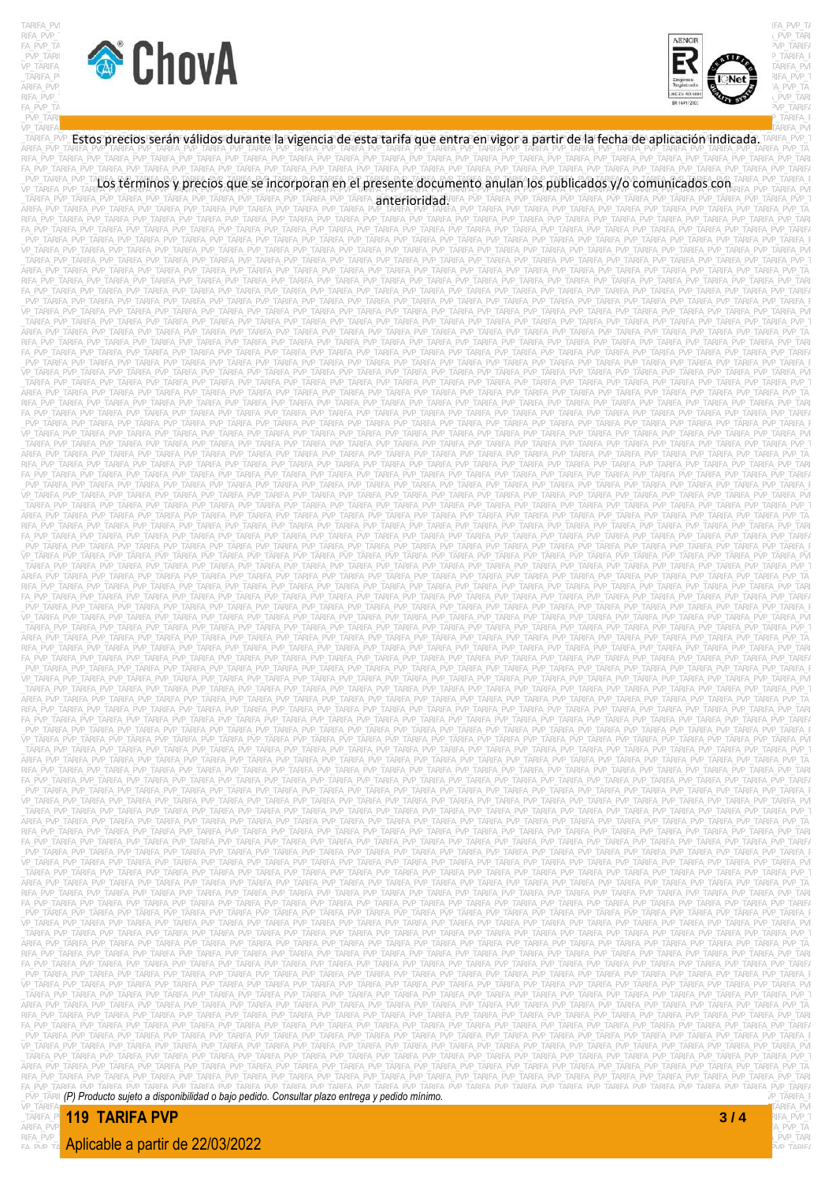





VP\_TARIFA\_PVP\_TARIFA\_PVP\_TARIFA\_PVP\_TARIFA\_PVP\_TARIFA\_PVP\_TARIFA\_PVP\_TARIFA\_PVP\_TARIFA\_PVP\_TARIFA\_PVP\_TARIFA\_PVP\_TARIFA\_PVP\_TARIFA\_PVP\_TARIFA\_PVP\_TARIFA\_PVP\_TARIFA\_PVP\_TARIFA\_PVP\_TARIFA\_PVP \_TARIFA\_PVP\_TARIFA\_PVP\_TARIFA\_PVP\_TARIFA\_PVP\_TARIFA\_PVP\_TARIFA\_PVP\_TARIFA\_PVP\_TARIFA\_PVP\_TARIFA\_PVP\_TARIFA\_PVP\_TARIFA\_PVP\_TARIFA\_PVP\_TARIFA\_PVP\_TARIFA\_PVP\_TARIFA\_PVP\_TARIFA\_PVP\_TARIFA\_PVP\_T ARIFA\_PVP\_TARIFA\_PVP\_TARIFA\_PVP\_TARIFA\_PVP\_TARIFA\_PVP\_TARIFA\_PVP\_TARIFA\_PVP\_TARIFA\_PVP\_TARIFA\_PVP\_TARIFA\_PVP\_TARIFA\_PVP\_TARIFA\_PVP\_TARIFA\_PVP\_TARIFA\_PVP\_TARIFA\_PVP\_TARIFA\_PVP\_TARIFA\_PVP\_TA Estos precios serán válidos durante la vigencia de esta tarifa que entra en vigor a partir de la fecha de aplicación indicada. RIFA\_PVP\_TARIFA\_PVP\_TARIFA\_PVP\_TARIFA\_PVP\_TARIFA\_PVP\_TARIFA\_PVP\_TARIFA\_PVP\_TARIFA\_PVP\_TARIFA\_PVP\_TARIFA\_PVP\_TARIFA\_PVP\_TARIFA\_PVP\_TARIFA\_PVP\_TARIFA\_PVP\_TARIFA\_PVP\_TARIFA\_PVP\_TARIFA\_PVP\_TARI FA\_PVP\_TARIFA\_PVP\_TARIFA\_PVP\_TARIFA\_PVP\_TARIFA\_PVP\_TARIFA\_PVP\_TARIFA\_PVP\_TARIFA\_PVP\_TARIFA\_PVP\_TARIFA\_PVP\_TARIFA\_PVP\_TARIFA\_PVP\_TARIFA\_PVP\_TARIFA\_PVP\_TARIFA\_PVP\_TARIFA\_PVP\_TARIFA\_PVP\_TARIFA LEVE TARIFA PVP TARLOS términos y precios que se incorporan en el presente documento anulan los publicados y/o comunicados con TARIFA PVP TARIFA PVP TARIFA \_TARIFA\_PVP\_TARIFA\_PVP\_TARIFA\_PVP\_TARIFA\_PVP\_TARIFA\_PVP\_TARIFA\_PVP\_TARIFA\_**anterioridad**:RIFA\_PVP\_TARIFA\_PVP\_TARIFA\_PVP\_TARIFA\_PVP\_TARIFA\_PVP\_TARIFA\_PVP\_TARIFA\_PVP\_TARIFA\_PVP\_TARIFA\_PVP\_TARIFA\_PVP\_TARIFA\_PVP\_TARIFA\_PVP\_TAR ARIFA\_PVP\_TARIFA\_PVP\_TARIFA\_PVP\_TARIFA\_PVP\_TARIFA\_PVP\_TARIFA\_PVP\_TARIFA\_PVP\_TARIFA\_PVP\_TARIFA\_PVP\_TARIFA\_PVP\_TARIFA\_PVP\_TARIFA\_PVP\_TARIFA\_PVP\_TARIFA\_PVP\_TARIFA\_PVP\_TARIFA\_PVP\_TARIFA\_PVP\_TA RIFA\_PVP\_TARIFA\_PVP\_TARIFA\_PVP\_TARIFA\_PVP\_TARIFA\_PVP\_TARIFA\_PVP\_TARIFA\_PVP\_TARIFA\_PVP\_TARIFA\_PVP\_TARIFA\_PVP\_TARIFA\_PVP\_TARIFA\_PVP\_TARIFA\_PVP\_TARIFA\_PVP\_TARIFA\_PVP\_TARIFA\_PVP\_TARIFA\_PVP\_TARI FA\_PVP\_TARIFA\_PVP\_TARIFA\_PVP\_TARIFA\_PVP\_TARIFA\_PVP\_TARIFA\_PVP\_TARIFA\_PVP\_TARIFA\_PVP\_TARIFA\_PVP\_TARIFA\_PVP\_TARIFA\_PVP\_TARIFA\_PVP\_TARIFA\_PVP\_TARIFA\_PVP\_TARIFA\_PVP\_TARIFA\_PVP\_TARIFA\_PVP\_TARIFA \_PVP\_TARIFA\_PVP\_TARIFA\_PVP\_TARIFA\_PVP\_TARIFA\_PVP\_TARIFA\_PVP\_TARIFA\_PVP\_TARIFA\_PVP\_TARIFA\_PVP\_TARIFA\_PVP\_TARIFA\_PVP\_TARIFA\_PVP\_TARIFA\_PVP\_TARIFA\_PVP\_TARIFA\_PVP\_TARIFA\_PVP\_TARIFA\_PVP\_TARIFA\_P VP\_TARIFA\_PVP\_TARIFA\_PVP\_TARIFA\_PVP\_TARIFA\_PVP\_TARIFA\_PVP\_TARIFA\_PVP\_TARIFA\_PVP\_TARIFA\_PVP\_TARIFA\_PVP\_TARIFA\_PVP\_TARIFA\_PVP\_TARIFA\_PVP\_TARIFA\_PVP\_TARIFA\_PVP\_TARIFA\_PVP\_TARIFA\_PVP\_TARIFA\_PVP \_TARIFA\_PVP\_TARIFA\_PVP\_TARIFA\_PVP\_TARIFA\_PVP\_TARIFA\_PVP\_TARIFA\_PVP\_TARIFA\_PVP\_TARIFA\_PVP\_TARIFA\_PVP\_TARIFA\_PVP\_TARIFA\_PVP\_TARIFA\_PVP\_TARIFA\_PVP\_TARIFA\_PVP\_TARIFA\_PVP\_TARIFA\_PVP\_TARIFA\_PVP\_T ARIFA\_PVP\_TARIFA\_PVP\_TARIFA\_PVP\_TARIFA\_PVP\_TARIFA\_PVP\_TARIFA\_PVP\_TARIFA\_PVP\_TARIFA\_PVP\_TARIFA\_PVP\_TARIFA\_PVP\_TARIFA\_PVP\_TARIFA\_PVP\_TARIFA\_PVP\_TARIFA\_PVP\_TARIFA\_PVP\_TARIFA\_PVP\_TARIFA\_PVP\_TA RIFA\_PVP\_TARIFA\_PVP\_TARIFA\_PVP\_TARIFA\_PVP\_TARIFA\_PVP\_TARIFA\_PVP\_TARIFA\_PVP\_TARIFA\_PVP\_TARIFA\_PVP\_TARIFA\_PVP\_TARIFA\_PVP\_TARIFA\_PVP\_TARIFA\_PVP\_TARIFA\_PVP\_TARIFA\_PVP\_TARIFA\_PVP\_TARIFA\_PVP\_TARI FA\_PVP\_TARIFA\_PVP\_TARIFA\_PVP\_TARIFA\_PVP\_TARIFA\_PVP\_TARIFA\_PVP\_TARIFA\_PVP\_TARIFA\_PVP\_TARIFA\_PVP\_TARIFA\_PVP\_TARIFA\_PVP\_TARIFA\_PVP\_TARIFA\_PVP\_TARIFA\_PVP\_TARIFA\_PVP\_TARIFA\_PVP\_TARIFA\_PVP\_TARIFA \_PVP\_TARIFA\_PVP\_TARIFA\_PVP\_TARIFA\_PVP\_TARIFA\_PVP\_TARIFA\_PVP\_TARIFA\_PVP\_TARIFA\_PVP\_TARIFA\_PVP\_TARIFA\_PVP\_TARIFA\_PVP\_TARIFA\_PVP\_TARIFA\_PVP\_TARIFA\_PVP\_TARIFA\_PVP\_TARIFA\_PVP\_TARIFA\_PVP\_TARIFA\_P VP\_TARIFA\_PVP\_TARIFA\_PVP\_TARIFA\_PVP\_TARIFA\_PVP\_TARIFA\_PVP\_TARIFA\_PVP\_TARIFA\_PVP\_TARIFA\_PVP\_TARIFA\_PVP\_TARIFA\_PVP\_TARIFA\_PVP\_TARIFA\_PVP\_TARIFA\_PVP\_TARIFA\_PVP\_TARIFA\_PVP\_TARIFA\_PVP\_TARIFA\_PVP \_TARIFA\_PVP\_TARIFA\_PVP\_TARIFA\_PVP\_TARIFA\_PVP\_TARIFA\_PVP\_TARIFA\_PVP\_TARIFA\_PVP\_TARIFA\_PVP\_TARIFA\_PVP\_TARIFA\_PVP\_TARIFA\_PVP\_TARIFA\_PVP\_TARIFA\_PVP\_TARIFA\_PVP\_TARIFA\_PVP\_TARIFA\_PVP\_TARIFA\_PVP\_T ARIFA\_PVP\_TARIFA\_PVP\_TARIFA\_PVP\_TARIFA\_PVP\_TARIFA\_PVP\_TARIFA\_PVP\_TARIFA\_PVP\_TARIFA\_PVP\_TARIFA\_PVP\_TARIFA\_PVP\_TARIFA\_PVP\_TARIFA\_PVP\_TARIFA\_PVP\_TARIFA\_PVP\_TARIFA\_PVP\_TARIFA\_PVP\_TARIFA\_PVP\_TA RIFA\_PVP\_TARIFA\_PVP\_TARIFA\_PVP\_TARIFA\_PVP\_TARIFA\_PVP\_TARIFA\_PVP\_TARIFA\_PVP\_TARIFA\_PVP\_TARIFA\_PVP\_TARIFA\_PVP\_TARIFA\_PVP\_TARIFA\_PVP\_TARIFA\_PVP\_TARIFA\_PVP\_TARIFA\_PVP\_TARIFA\_PVP\_TARIFA\_PVP\_TARI FA\_PVP\_TARIFA\_PVP\_TARIFA\_PVP\_TARIFA\_PVP\_TARIFA\_PVP\_TARIFA\_PVP\_TARIFA\_PVP\_TARIFA\_PVP\_TARIFA\_PVP\_TARIFA\_PVP\_TARIFA\_PVP\_TARIFA\_PVP\_TARIFA\_PVP\_TARIFA\_PVP\_TARIFA\_PVP\_TARIFA\_PVP\_TARIFA\_PVP\_TARIFA \_PVP\_TARIFA\_PVP\_TARIFA\_PVP\_TARIFA\_PVP\_TARIFA\_PVP\_TARIFA\_PVP\_TARIFA\_PVP\_TARIFA\_PVP\_TARIFA\_PVP\_TARIFA\_PVP\_TARIFA\_PVP\_TARIFA\_PVP\_TARIFA\_PVP\_TARIFA\_PVP\_TARIFA\_PVP\_TARIFA\_PVP\_TARIFA\_PVP\_TARIFA\_P VP\_TARIFA\_PVP\_TARIFA\_PVP\_TARIFA\_PVP\_TARIFA\_PVP\_TARIFA\_PVP\_TARIFA\_PVP\_TARIFA\_PVP\_TARIFA\_PVP\_TARIFA\_PVP\_TARIFA\_PVP\_TARIFA\_PVP\_TARIFA\_PVP\_TARIFA\_PVP\_TARIFA\_PVP\_TARIFA\_PVP\_TARIFA\_PVP\_TARIFA\_PVP \_TARIFA\_PVP\_TARIFA\_PVP\_TARIFA\_PVP\_TARIFA\_PVP\_TARIFA\_PVP\_TARIFA\_PVP\_TARIFA\_PVP\_TARIFA\_PVP\_TARIFA\_PVP\_TARIFA\_PVP\_TARIFA\_PVP\_TARIFA\_PVP\_TARIFA\_PVP\_TARIFA\_PVP\_TARIFA\_PVP\_TARIFA\_PVP\_TARIFA\_PVP\_T ARIFA\_PVP\_TARIFA\_PVP\_TARIFA\_PVP\_TARIFA\_PVP\_TARIFA\_PVP\_TARIFA\_PVP\_TARIFA\_PVP\_TARIFA\_PVP\_TARIFA\_PVP\_TARIFA\_PVP\_TARIFA\_PVP\_TARIFA\_PVP\_TARIFA\_PVP\_TARIFA\_PVP\_TARIFA\_PVP\_TARIFA\_PVP\_TARIFA\_PVP\_TA RIFA\_PVP\_TARIFA\_PVP\_TARIFA\_PVP\_TARIFA\_PVP\_TARIFA\_PVP\_TARIFA\_PVP\_TARIFA\_PVP\_TARIFA\_PVP\_TARIFA\_PVP\_TARIFA\_PVP\_TARIFA\_PVP\_TARIFA\_PVP\_TARIFA\_PVP\_TARIFA\_PVP\_TARIFA\_PVP\_TARIFA\_PVP\_TARIFA\_PVP\_TARI FA\_PVP\_TARIFA\_PVP\_TARIFA\_PVP\_TARIFA\_PVP\_TARIFA\_PVP\_TARIFA\_PVP\_TARIFA\_PVP\_TARIFA\_PVP\_TARIFA\_PVP\_TARIFA\_PVP\_TARIFA\_PVP\_TARIFA\_PVP\_TARIFA\_PVP\_TARIFA\_PVP\_TARIFA\_PVP\_TARIFA\_PVP\_TARIFA\_PVP\_TARIFA \_PVP\_TARIFA\_PVP\_TARIFA\_PVP\_TARIFA\_PVP\_TARIFA\_PVP\_TARIFA\_PVP\_TARIFA\_PVP\_TARIFA\_PVP\_TARIFA\_PVP\_TARIFA\_PVP\_TARIFA\_PVP\_TARIFA\_PVP\_TARIFA\_PVP\_TARIFA\_PVP\_TARIFA\_PVP\_TARIFA\_PVP\_TARIFA\_PVP\_TARIFA\_P VP\_TARIFA\_PVP\_TARIFA\_PVP\_TARIFA\_PVP\_TARIFA\_PVP\_TARIFA\_PVP\_TARIFA\_PVP\_TARIFA\_PVP\_TARIFA\_PVP\_TARIFA\_PVP\_TARIFA\_PVP\_TARIFA\_PVP\_TARIFA\_PVP\_TARIFA\_PVP\_TARIFA\_PVP\_TARIFA\_PVP\_TARIFA\_PVP\_TARIFA\_PVP \_TARIFA\_PVP\_TARIFA\_PVP\_TARIFA\_PVP\_TARIFA\_PVP\_TARIFA\_PVP\_TARIFA\_PVP\_TARIFA\_PVP\_TARIFA\_PVP\_TARIFA\_PVP\_TARIFA\_PVP\_TARIFA\_PVP\_TARIFA\_PVP\_TARIFA\_PVP\_TARIFA\_PVP\_TARIFA\_PVP\_TARIFA\_PVP\_TARIFA\_PVP\_T ARIFA\_PVP\_TARIFA\_PVP\_TARIFA\_PVP\_TARIFA\_PVP\_TARIFA\_PVP\_TARIFA\_PVP\_TARIFA\_PVP\_TARIFA\_PVP\_TARIFA\_PVP\_TARIFA\_PVP\_TARIFA\_PVP\_TARIFA\_PVP\_TARIFA\_PVP\_TARIFA\_PVP\_TARIFA\_PVP\_TARIFA\_PVP\_TARIFA\_PVP\_TA RIFA\_PVP\_TARIFA\_PVP\_TARIFA\_PVP\_TARIFA\_PVP\_TARIFA\_PVP\_TARIFA\_PVP\_TARIFA\_PVP\_TARIFA\_PVP\_TARIFA\_PVP\_TARIFA\_PVP\_TARIFA\_PVP\_TARIFA\_PVP\_TARIFA\_PVP\_TARIFA\_PVP\_TARIFA\_PVP\_TARIFA\_PVP\_TARIFA\_PVP\_TARI FA\_PVP\_TARIFA\_PVP\_TARIFA\_PVP\_TARIFA\_PVP\_TARIFA\_PVP\_TARIFA\_PVP\_TARIFA\_PVP\_TARIFA\_PVP\_TARIFA\_PVP\_TARIFA\_PVP\_TARIFA\_PVP\_TARIFA\_PVP\_TARIFA\_PVP\_TARIFA\_PVP\_TARIFA\_PVP\_TARIFA\_PVP\_TARIFA\_PVP\_TARIFA \_PVP\_TARIFA\_PVP\_TARIFA\_PVP\_TARIFA\_PVP\_TARIFA\_PVP\_TARIFA\_PVP\_TARIFA\_PVP\_TARIFA\_PVP\_TARIFA\_PVP\_TARIFA\_PVP\_TARIFA\_PVP\_TARIFA\_PVP\_TARIFA\_PVP\_TARIFA\_PVP\_TARIFA\_PVP\_TARIFA\_PVP\_TARIFA\_PVP\_TARIFA\_P VP\_TARIFA\_PVP\_TARIFA\_PVP\_TARIFA\_PVP\_TARIFA\_PVP\_TARIFA\_PVP\_TARIFA\_PVP\_TARIFA\_PVP\_TARIFA\_PVP\_TARIFA\_PVP\_TARIFA\_PVP\_TARIFA\_PVP\_TARIFA\_PVP\_TARIFA\_PVP\_TARIFA\_PVP\_TARIFA\_PVP\_TARIFA\_PVP\_TARIFA\_PVP \_TARIFA\_PVP\_TARIFA\_PVP\_TARIFA\_PVP\_TARIFA\_PVP\_TARIFA\_PVP\_TARIFA\_PVP\_TARIFA\_PVP\_TARIFA\_PVP\_TARIFA\_PVP\_TARIFA\_PVP\_TARIFA\_PVP\_TARIFA\_PVP\_TARIFA\_PVP\_TARIFA\_PVP\_TARIFA\_PVP\_TARIFA\_PVP\_TARIFA\_PVP\_T ARIFA\_PVP\_TARIFA\_PVP\_TARIFA\_PVP\_TARIFA\_PVP\_TARIFA\_PVP\_TARIFA\_PVP\_TARIFA\_PVP\_TARIFA\_PVP\_TARIFA\_PVP\_TARIFA\_PVP\_TARIFA\_PVP\_TARIFA\_PVP\_TARIFA\_PVP\_TARIFA\_PVP\_TARIFA\_PVP\_TARIFA\_PVP\_TARIFA\_PVP\_TA RIFA\_PVP\_TARIFA\_PVP\_TARIFA\_PVP\_TARIFA\_PVP\_TARIFA\_PVP\_TARIFA\_PVP\_TARIFA\_PVP\_TARIFA\_PVP\_TARIFA\_PVP\_TARIFA\_PVP\_TARIFA\_PVP\_TARIFA\_PVP\_TARIFA\_PVP\_TARIFA\_PVP\_TARIFA\_PVP\_TARIFA\_PVP\_TARIFA\_PVP\_TARI FA\_PVP\_TARIFA\_PVP\_TARIFA\_PVP\_TARIFA\_PVP\_TARIFA\_PVP\_TARIFA\_PVP\_TARIFA\_PVP\_TARIFA\_PVP\_TARIFA\_PVP\_TARIFA\_PVP\_TARIFA\_PVP\_TARIFA\_PVP\_TARIFA\_PVP\_TARIFA\_PVP\_TARIFA\_PVP\_TARIFA\_PVP\_TARIFA\_PVP\_TARIFA \_PVP\_TARIFA\_PVP\_TARIFA\_PVP\_TARIFA\_PVP\_TARIFA\_PVP\_TARIFA\_PVP\_TARIFA\_PVP\_TARIFA\_PVP\_TARIFA\_PVP\_TARIFA\_PVP\_TARIFA\_PVP\_TARIFA\_PVP\_TARIFA\_PVP\_TARIFA\_PVP\_TARIFA\_PVP\_TARIFA\_PVP\_TARIFA\_PVP\_TARIFA\_P VP\_TARIFA\_PVP\_TARIFA\_PVP\_TARIFA\_PVP\_TARIFA\_PVP\_TARIFA\_PVP\_TARIFA\_PVP\_TARIFA\_PVP\_TARIFA\_PVP\_TARIFA\_PVP\_TARIFA\_PVP\_TARIFA\_PVP\_TARIFA\_PVP\_TARIFA\_PVP\_TARIFA\_PVP\_TARIFA\_PVP\_TARIFA\_PVP\_TARIFA\_PVP \_TARIFA\_PVP\_TARIFA\_PVP\_TARIFA\_PVP\_TARIFA\_PVP\_TARIFA\_PVP\_TARIFA\_PVP\_TARIFA\_PVP\_TARIFA\_PVP\_TARIFA\_PVP\_TARIFA\_PVP\_TARIFA\_PVP\_TARIFA\_PVP\_TARIFA\_PVP\_TARIFA\_PVP\_TARIFA\_PVP\_TARIFA\_PVP\_TARIFA\_PVP\_T ARIFA\_PVP\_TARIFA\_PVP\_TARIFA\_PVP\_TARIFA\_PVP\_TARIFA\_PVP\_TARIFA\_PVP\_TARIFA\_PVP\_TARIFA\_PVP\_TARIFA\_PVP\_TARIFA\_PVP\_TARIFA\_PVP\_TARIFA\_PVP\_TARIFA\_PVP\_TARIFA\_PVP\_TARIFA\_PVP\_TARIFA\_PVP\_TARIFA\_PVP\_TA RIFA\_PVP\_TARIFA\_PVP\_TARIFA\_PVP\_TARIFA\_PVP\_TARIFA\_PVP\_TARIFA\_PVP\_TARIFA\_PVP\_TARIFA\_PVP\_TARIFA\_PVP\_TARIFA\_PVP\_TARIFA\_PVP\_TARIFA\_PVP\_TARIFA\_PVP\_TARIFA\_PVP\_TARIFA\_PVP\_TARIFA\_PVP\_TARIFA\_PVP\_TARI FA\_PVP\_TARIFA\_PVP\_TARIFA\_PVP\_TARIFA\_PVP\_TARIFA\_PVP\_TARIFA\_PVP\_TARIFA\_PVP\_TARIFA\_PVP\_TARIFA\_PVP\_TARIFA\_PVP\_TARIFA\_PVP\_TARIFA\_PVP\_TARIFA\_PVP\_TARIFA\_PVP\_TARIFA\_PVP\_TARIFA\_PVP\_TARIFA\_PVP\_TARIFA \_PVP\_TARIFA\_PVP\_TARIFA\_PVP\_TARIFA\_PVP\_TARIFA\_PVP\_TARIFA\_PVP\_TARIFA\_PVP\_TARIFA\_PVP\_TARIFA\_PVP\_TARIFA\_PVP\_TARIFA\_PVP\_TARIFA\_PVP\_TARIFA\_PVP\_TARIFA\_PVP\_TARIFA\_PVP\_TARIFA\_PVP\_TARIFA\_PVP\_TARIFA\_P VP\_TARIFA\_PVP\_TARIFA\_PVP\_TARIFA\_PVP\_TARIFA\_PVP\_TARIFA\_PVP\_TARIFA\_PVP\_TARIFA\_PVP\_TARIFA\_PVP\_TARIFA\_PVP\_TARIFA\_PVP\_TARIFA\_PVP\_TARIFA\_PVP\_TARIFA\_PVP\_TARIFA\_PVP\_TARIFA\_PVP\_TARIFA\_PVP\_TARIFA\_PVP \_TARIFA\_PVP\_TARIFA\_PVP\_TARIFA\_PVP\_TARIFA\_PVP\_TARIFA\_PVP\_TARIFA\_PVP\_TARIFA\_PVP\_TARIFA\_PVP\_TARIFA\_PVP\_TARIFA\_PVP\_TARIFA\_PVP\_TARIFA\_PVP\_TARIFA\_PVP\_TARIFA\_PVP\_TARIFA\_PVP\_TARIFA\_PVP\_TARIFA\_PVP\_T ARIFA\_PVP\_TARIFA\_PVP\_TARIFA\_PVP\_TARIFA\_PVP\_TARIFA\_PVP\_TARIFA\_PVP\_TARIFA\_PVP\_TARIFA\_PVP\_TARIFA\_PVP\_TARIFA\_PVP\_TARIFA\_PVP\_TARIFA\_PVP\_TARIFA\_PVP\_TARIFA\_PVP\_TARIFA\_PVP\_TARIFA\_PVP\_TARIFA\_PVP\_TA RIFA\_PVP\_TARIFA\_PVP\_TARIFA\_PVP\_TARIFA\_PVP\_TARIFA\_PVP\_TARIFA\_PVP\_TARIFA\_PVP\_TARIFA\_PVP\_TARIFA\_PVP\_TARIFA\_PVP\_TARIFA\_PVP\_TARIFA\_PVP\_TARIFA\_PVP\_TARIFA\_PVP\_TARIFA\_PVP\_TARIFA\_PVP\_TARIFA\_PVP\_TARI FA\_PVP\_TARIFA\_PVP\_TARIFA\_PVP\_TARIFA\_PVP\_TARIFA\_PVP\_TARIFA\_PVP\_TARIFA\_PVP\_TARIFA\_PVP\_TARIFA\_PVP\_TARIFA\_PVP\_TARIFA\_PVP\_TARIFA\_PVP\_TARIFA\_PVP\_TARIFA\_PVP\_TARIFA\_PVP\_TARIFA\_PVP\_TARIFA\_PVP\_TARIFA \_PVP\_TARIFA\_PVP\_TARIFA\_PVP\_TARIFA\_PVP\_TARIFA\_PVP\_TARIFA\_PVP\_TARIFA\_PVP\_TARIFA\_PVP\_TARIFA\_PVP\_TARIFA\_PVP\_TARIFA\_PVP\_TARIFA\_PVP\_TARIFA\_PVP\_TARIFA\_PVP\_TARIFA\_PVP\_TARIFA\_PVP\_TARIFA\_PVP\_TARIFA\_P VP\_TARIFA\_PVP\_TARIFA\_PVP\_TARIFA\_PVP\_TARIFA\_PVP\_TARIFA\_PVP\_TARIFA\_PVP\_TARIFA\_PVP\_TARIFA\_PVP\_TARIFA\_PVP\_TARIFA\_PVP\_TARIFA\_PVP\_TARIFA\_PVP\_TARIFA\_PVP\_TARIFA\_PVP\_TARIFA\_PVP\_TARIFA\_PVP\_TARIFA\_PVP \_TARIFA\_PVP\_TARIFA\_PVP\_TARIFA\_PVP\_TARIFA\_PVP\_TARIFA\_PVP\_TARIFA\_PVP\_TARIFA\_PVP\_TARIFA\_PVP\_TARIFA\_PVP\_TARIFA\_PVP\_TARIFA\_PVP\_TARIFA\_PVP\_TARIFA\_PVP\_TARIFA\_PVP\_TARIFA\_PVP\_TARIFA\_PVP\_TARIFA\_PVP\_T ARIFA\_PVP\_TARIFA\_PVP\_TARIFA\_PVP\_TARIFA\_PVP\_TARIFA\_PVP\_TARIFA\_PVP\_TARIFA\_PVP\_TARIFA\_PVP\_TARIFA\_PVP\_TARIFA\_PVP\_TARIFA\_PVP\_TARIFA\_PVP\_TARIFA\_PVP\_TARIFA\_PVP\_TARIFA\_PVP\_TARIFA\_PVP\_TARIFA\_PVP\_TA RIFA\_PVP\_TARIFA\_PVP\_TARIFA\_PVP\_TARIFA\_PVP\_TARIFA\_PVP\_TARIFA\_PVP\_TARIFA\_PVP\_TARIFA\_PVP\_TARIFA\_PVP\_TARIFA\_PVP\_TARIFA\_PVP\_TARIFA\_PVP\_TARIFA\_PVP\_TARIFA\_PVP\_TARIFA\_PVP\_TARIFA\_PVP\_TARIFA\_PVP\_TARI FA\_PVP\_TARIFA\_PVP\_TARIFA\_PVP\_TARIFA\_PVP\_TARIFA\_PVP\_TARIFA\_PVP\_TARIFA\_PVP\_TARIFA\_PVP\_TARIFA\_PVP\_TARIFA\_PVP\_TARIFA\_PVP\_TARIFA\_PVP\_TARIFA\_PVP\_TARIFA\_PVP\_TARIFA\_PVP\_TARIFA\_PVP\_TARIFA\_PVP\_TARIFA \_PVP\_TARIFA\_PVP\_TARIFA\_PVP\_TARIFA\_PVP\_TARIFA\_PVP\_TARIFA\_PVP\_TARIFA\_PVP\_TARIFA\_PVP\_TARIFA\_PVP\_TARIFA\_PVP\_TARIFA\_PVP\_TARIFA\_PVP\_TARIFA\_PVP\_TARIFA\_PVP\_TARIFA\_PVP\_TARIFA\_PVP\_TARIFA\_PVP\_TARIFA\_P VP\_TARIFA\_PVP\_TARIFA\_PVP\_TARIFA\_PVP\_TARIFA\_PVP\_TARIFA\_PVP\_TARIFA\_PVP\_TARIFA\_PVP\_TARIFA\_PVP\_TARIFA\_PVP\_TARIFA\_PVP\_TARIFA\_PVP\_TARIFA\_PVP\_TARIFA\_PVP\_TARIFA\_PVP\_TARIFA\_PVP\_TARIFA\_PVP\_TARIFA\_PVP \_TARIFA\_PVP\_TARIFA\_PVP\_TARIFA\_PVP\_TARIFA\_PVP\_TARIFA\_PVP\_TARIFA\_PVP\_TARIFA\_PVP\_TARIFA\_PVP\_TARIFA\_PVP\_TARIFA\_PVP\_TARIFA\_PVP\_TARIFA\_PVP\_TARIFA\_PVP\_TARIFA\_PVP\_TARIFA\_PVP\_TARIFA\_PVP\_TARIFA\_PVP\_T ARIFA\_PVP\_TARIFA\_PVP\_TARIFA\_PVP\_TARIFA\_PVP\_TARIFA\_PVP\_TARIFA\_PVP\_TARIFA\_PVP\_TARIFA\_PVP\_TARIFA\_PVP\_TARIFA\_PVP\_TARIFA\_PVP\_TARIFA\_PVP\_TARIFA\_PVP\_TARIFA\_PVP\_TARIFA\_PVP\_TARIFA\_PVP\_TARIFA\_PVP\_TA RIFA\_PVP\_TARIFA\_PVP\_TARIFA\_PVP\_TARIFA\_PVP\_TARIFA\_PVP\_TARIFA\_PVP\_TARIFA\_PVP\_TARIFA\_PVP\_TARIFA\_PVP\_TARIFA\_PVP\_TARIFA\_PVP\_TARIFA\_PVP\_TARIFA\_PVP\_TARIFA\_PVP\_TARIFA\_PVP\_TARIFA\_PVP\_TARIFA\_PVP\_TARI FA\_PVP\_TARIFA\_PVP\_TARIFA\_PVP\_TARIFA\_PVP\_TARIFA\_PVP\_TARIFA\_PVP\_TARIFA\_PVP\_TARIFA\_PVP\_TARIFA\_PVP\_TARIFA\_PVP\_TARIFA\_PVP\_TARIFA\_PVP\_TARIFA\_PVP\_TARIFA\_PVP\_TARIFA\_PVP\_TARIFA\_PVP\_TARIFA\_PVP\_TARIFA \_PVP\_TARIFA\_PVP\_TARIFA\_PVP\_TARIFA\_PVP\_TARIFA\_PVP\_TARIFA\_PVP\_TARIFA\_PVP\_TARIFA\_PVP\_TARIFA\_PVP\_TARIFA\_PVP\_TARIFA\_PVP\_TARIFA\_PVP\_TARIFA\_PVP\_TARIFA\_PVP\_TARIFA\_PVP\_TARIFA\_PVP\_TARIFA\_PVP\_TARIFA\_P VP\_TARIFA\_PVP\_TARIFA\_PVP\_TARIFA\_PVP\_TARIFA\_PVP\_TARIFA\_PVP\_TARIFA\_PVP\_TARIFA\_PVP\_TARIFA\_PVP\_TARIFA\_PVP\_TARIFA\_PVP\_TARIFA\_PVP\_TARIFA\_PVP\_TARIFA\_PVP\_TARIFA\_PVP\_TARIFA\_PVP\_TARIFA\_PVP\_TARIFA\_PVP \_TARIFA\_PVP\_TARIFA\_PVP\_TARIFA\_PVP\_TARIFA\_PVP\_TARIFA\_PVP\_TARIFA\_PVP\_TARIFA\_PVP\_TARIFA\_PVP\_TARIFA\_PVP\_TARIFA\_PVP\_TARIFA\_PVP\_TARIFA\_PVP\_TARIFA\_PVP\_TARIFA\_PVP\_TARIFA\_PVP\_TARIFA\_PVP\_TARIFA\_PVP\_T ARIFA\_PVP\_TARIFA\_PVP\_TARIFA\_PVP\_TARIFA\_PVP\_TARIFA\_PVP\_TARIFA\_PVP\_TARIFA\_PVP\_TARIFA\_PVP\_TARIFA\_PVP\_TARIFA\_PVP\_TARIFA\_PVP\_TARIFA\_PVP\_TARIFA\_PVP\_TARIFA\_PVP\_TARIFA\_PVP\_TARIFA\_PVP\_TARIFA\_PVP\_TA RIFA\_PVP\_TARIFA\_PVP\_TARIFA\_PVP\_TARIFA\_PVP\_TARIFA\_PVP\_TARIFA\_PVP\_TARIFA\_PVP\_TARIFA\_PVP\_TARIFA\_PVP\_TARIFA\_PVP\_TARIFA\_PVP\_TARIFA\_PVP\_TARIFA\_PVP\_TARIFA\_PVP\_TARIFA\_PVP\_TARIFA\_PVP\_TARIFA\_PVP\_TARI FA\_PVP\_TARIFA\_PVP\_TARIFA\_PVP\_TARIFA\_PVP\_TARIFA\_PVP\_TARIFA\_PVP\_TARIFA\_PVP\_TARIFA\_PVP\_TARIFA\_PVP\_TARIFA\_PVP\_TARIFA\_PVP\_TARIFA\_PVP\_TARIFA\_PVP\_TARIFA\_PVP\_TARIFA\_PVP\_TARIFA\_PVP\_TARIFA\_PVP\_TARIFA \_PVP\_TARIFA\_PVP\_TARIFA\_PVP\_TARIFA\_PVP\_TARIFA\_PVP\_TARIFA\_PVP\_TARIFA\_PVP\_TARIFA\_PVP\_TARIFA\_PVP\_TARIFA\_PVP\_TARIFA\_PVP\_TARIFA\_PVP\_TARIFA\_PVP\_TARIFA\_PVP\_TARIFA\_PVP\_TARIFA\_PVP\_TARIFA\_PVP\_TARIFA\_P VP\_TARIFA\_PVP\_TARIFA\_PVP\_TARIFA\_PVP\_TARIFA\_PVP\_TARIFA\_PVP\_TARIFA\_PVP\_TARIFA\_PVP\_TARIFA\_PVP\_TARIFA\_PVP\_TARIFA\_PVP\_TARIFA\_PVP\_TARIFA\_PVP\_TARIFA\_PVP\_TARIFA\_PVP\_TARIFA\_PVP\_TARIFA\_PVP\_TARIFA\_PVP \_TARIFA\_PVP\_TARIFA\_PVP\_TARIFA\_PVP\_TARIFA\_PVP\_TARIFA\_PVP\_TARIFA\_PVP\_TARIFA\_PVP\_TARIFA\_PVP\_TARIFA\_PVP\_TARIFA\_PVP\_TARIFA\_PVP\_TARIFA\_PVP\_TARIFA\_PVP\_TARIFA\_PVP\_TARIFA\_PVP\_TARIFA\_PVP\_TARIFA\_PVP\_T ARIFA\_PVP\_TARIFA\_PVP\_TARIFA\_PVP\_TARIFA\_PVP\_TARIFA\_PVP\_TARIFA\_PVP\_TARIFA\_PVP\_TARIFA\_PVP\_TARIFA\_PVP\_TARIFA\_PVP\_TARIFA\_PVP\_TARIFA\_PVP\_TARIFA\_PVP\_TARIFA\_PVP\_TARIFA\_PVP\_TARIFA\_PVP\_TARIFA\_PVP\_TA RIFA\_PVP\_TARIFA\_PVP\_TARIFA\_PVP\_TARIFA\_PVP\_TARIFA\_PVP\_TARIFA\_PVP\_TARIFA\_PVP\_TARIFA\_PVP\_TARIFA\_PVP\_TARIFA\_PVP\_TARIFA\_PVP\_TARIFA\_PVP\_TARIFA\_PVP\_TARIFA\_PVP\_TARIFA\_PVP\_TARIFA\_PVP\_TARIFA\_PVP\_TARI FA\_PVP\_TARIFA\_PVP\_TARIFA\_PVP\_TARIFA\_PVP\_TARIFA\_PVP\_TARIFA\_PVP\_TARIFA\_PVP\_TARIFA\_PVP\_TARIFA\_PVP\_TARIFA\_PVP\_TARIFA\_PVP\_TARIFA\_PVP\_TARIFA\_PVP\_TARIFA\_PVP\_TARIFA\_PVP\_TARIFA\_PVP\_TARIFA\_PVP\_TARIFA \_PVP\_TARIFA\_PVP\_TARIFA\_PVP\_TARIFA\_PVP\_TARIFA\_PVP\_TARIFA\_PVP\_TARIFA\_PVP\_TARIFA\_PVP\_TARIFA\_PVP\_TARIFA\_PVP\_TARIFA\_PVP\_TARIFA\_PVP\_TARIFA\_PVP\_TARIFA\_PVP\_TARIFA\_PVP\_TARIFA\_PVP\_TARIFA\_PVP\_TARIFA\_P VP\_TARIFA\_PVP\_TARIFA\_PVP\_TARIFA\_PVP\_TARIFA\_PVP\_TARIFA\_PVP\_TARIFA\_PVP\_TARIFA\_PVP\_TARIFA\_PVP\_TARIFA\_PVP\_TARIFA\_PVP\_TARIFA\_PVP\_TARIFA\_PVP\_TARIFA\_PVP\_TARIFA\_PVP\_TARIFA\_PVP\_TARIFA\_PVP\_TARIFA\_PVP \_TARIFA\_PVP\_TARIFA\_PVP\_TARIFA\_PVP\_TARIFA\_PVP\_TARIFA\_PVP\_TARIFA\_PVP\_TARIFA\_PVP\_TARIFA\_PVP\_TARIFA\_PVP\_TARIFA\_PVP\_TARIFA\_PVP\_TARIFA\_PVP\_TARIFA\_PVP\_TARIFA\_PVP\_TARIFA\_PVP\_TARIFA\_PVP\_TARIFA\_PVP\_T ARIFA\_PVP\_TARIFA\_PVP\_TARIFA\_PVP\_TARIFA\_PVP\_TARIFA\_PVP\_TARIFA\_PVP\_TARIFA\_PVP\_TARIFA\_PVP\_TARIFA\_PVP\_TARIFA\_PVP\_TARIFA\_PVP\_TARIFA\_PVP\_TARIFA\_PVP\_TARIFA\_PVP\_TARIFA\_PVP\_TARIFA\_PVP\_TARIFA\_PVP\_TA RIFA\_PVP\_TARIFA\_PVP\_TARIFA\_PVP\_TARIFA\_PVP\_TARIFA\_PVP\_TARIFA\_PVP\_TARIFA\_PVP\_TARIFA\_PVP\_TARIFA\_PVP\_TARIFA\_PVP\_TARIFA\_PVP\_TARIFA\_PVP\_TARIFA\_PVP\_TARIFA\_PVP\_TARIFA\_PVP\_TARIFA\_PVP\_TARIFA\_PVP\_TARI FA\_PVP\_TARIFA\_PVP\_TARIFA\_PVP\_TARIFA\_PVP\_TARIFA\_PVP\_TARIFA\_PVP\_TARIFA\_PVP\_TARIFA\_PVP\_TARIFA\_PVP\_TARIFA\_PVP\_TARIFA\_PVP\_TARIFA\_PVP\_TARIFA\_PVP\_TARIFA\_PVP\_TARIFA\_PVP\_TARIFA\_PVP\_TARIFA\_PVP\_TARIFA \_PVP\_TARIFA\_PVP\_TARIFA\_PVP\_TARIFA\_PVP\_TARIFA\_PVP\_TARIFA\_PVP\_TARIFA\_PVP\_TARIFA\_PVP\_TARIFA\_PVP\_TARIFA\_PVP\_TARIFA\_PVP\_TARIFA\_PVP\_TARIFA\_PVP\_TARIFA\_PVP\_TARIFA\_PVP\_TARIFA\_PVP\_TARIFA\_PVP\_TARIFA\_P VP\_TARIFA\_PVP\_TARIFA\_PVP\_TARIFA\_PVP\_TARIFA\_PVP\_TARIFA\_PVP\_TARIFA\_PVP\_TARIFA\_PVP\_TARIFA\_PVP\_TARIFA\_PVP\_TARIFA\_PVP\_TARIFA\_PVP\_TARIFA\_PVP\_TARIFA\_PVP\_TARIFA\_PVP\_TARIFA\_PVP\_TARIFA\_PVP\_TARIFA\_PVP \_TARIFA\_PVP\_TARIFA\_PVP\_TARIFA\_PVP\_TARIFA\_PVP\_TARIFA\_PVP\_TARIFA\_PVP\_TARIFA\_PVP\_TARIFA\_PVP\_TARIFA\_PVP\_TARIFA\_PVP\_TARIFA\_PVP\_TARIFA\_PVP\_TARIFA\_PVP\_TARIFA\_PVP\_TARIFA\_PVP\_TARIFA\_PVP\_TARIFA\_PVP\_T ARIFA\_PVP\_TARIFA\_PVP\_TARIFA\_PVP\_TARIFA\_PVP\_TARIFA\_PVP\_TARIFA\_PVP\_TARIFA\_PVP\_TARIFA\_PVP\_TARIFA\_PVP\_TARIFA\_PVP\_TARIFA\_PVP\_TARIFA\_PVP\_TARIFA\_PVP\_TARIFA\_PVP\_TARIFA\_PVP\_TARIFA\_PVP\_TARIFA\_PVP\_TA RIFA\_PVP\_TARIFA\_PVP\_TARIFA\_PVP\_TARIFA\_PVP\_TARIFA\_PVP\_TARIFA\_PVP\_TARIFA\_PVP\_TARIFA\_PVP\_TARIFA\_PVP\_TARIFA\_PVP\_TARIFA\_PVP\_TARIFA\_PVP\_TARIFA\_PVP\_TARIFA\_PVP\_TARIFA\_PVP\_TARIFA\_PVP\_TARIFA\_PVP\_TARI FA\_PVP\_TARIFA\_PVP\_TARIFA\_PVP\_TARIFA\_PVP\_TARIFA\_PVP\_TARIFA\_PVP\_TARIFA\_PVP\_TARIFA\_PVP\_TARIFA\_PVP\_TARIFA\_PVP\_TARIFA\_PVP\_TARIFA\_PVP\_TARIFA\_PVP\_TARIFA\_PVP\_TARIFA\_PVP\_TARIFA\_PVP\_TARIFA\_PVP\_TARIFA \_PVP\_TARIFA\_PVP\_TARIFA\_PVP\_TARIFA\_PVP\_TARIFA\_PVP\_TARIFA\_PVP\_TARIFA\_PVP\_TARIFA\_PVP\_TARIFA\_PVP\_TARIFA\_PVP\_TARIFA\_PVP\_TARIFA\_PVP\_TARIFA\_PVP\_TARIFA\_PVP\_TARIFA\_PVP\_TARIFA\_PVP\_TARIFA\_PVP\_TARIFA\_P VP\_TARIFA\_PVP\_TARIFA\_PVP\_TARIFA\_PVP\_TARIFA\_PVP\_TARIFA\_PVP\_TARIFA\_PVP\_TARIFA\_PVP\_TARIFA\_PVP\_TARIFA\_PVP\_TARIFA\_PVP\_TARIFA\_PVP\_TARIFA\_PVP\_TARIFA\_PVP\_TARIFA\_PVP\_TARIFA\_PVP\_TARIFA\_PVP\_TARIFA\_PVP \_TARIFA\_PVP\_TARIFA\_PVP\_TARIFA\_PVP\_TARIFA\_PVP\_TARIFA\_PVP\_TARIFA\_PVP\_TARIFA\_PVP\_TARIFA\_PVP\_TARIFA\_PVP\_TARIFA\_PVP\_TARIFA\_PVP\_TARIFA\_PVP\_TARIFA\_PVP\_TARIFA\_PVP\_TARIFA\_PVP\_TARIFA\_PVP\_TARIFA\_PVP\_T ARIFA\_PVP\_TARIFA\_PVP\_TARIFA\_PVP\_TARIFA\_PVP\_TARIFA\_PVP\_TARIFA\_PVP\_TARIFA\_PVP\_TARIFA\_PVP\_TARIFA\_PVP\_TARIFA\_PVP\_TARIFA\_PVP\_TARIFA\_PVP\_TARIFA\_PVP\_TARIFA\_PVP\_TARIFA\_PVP\_TARIFA\_PVP\_TARIFA\_PVP\_TA RIFA\_PVP\_TARIFA\_PVP\_TARIFA\_PVP\_TARIFA\_PVP\_TARIFA\_PVP\_TARIFA\_PVP\_TARIFA\_PVP\_TARIFA\_PVP\_TARIFA\_PVP\_TARIFA\_PVP\_TARIFA\_PVP\_TARIFA\_PVP\_TARIFA\_PVP\_TARIFA\_PVP\_TARIFA\_PVP\_TARIFA\_PVP\_TARIFA\_PVP\_TARI FA PVP TARIEA DUP TAREA PVP TARIEA PVP TARIEA PVP TARIEA PVP TARIEA PVP TARIEA PVP TARIEA PVP TARIEA DVP TARIEA PVP TARIEA PVP TARIEA PVP TARIEA PVP TARIEA PVP TARIEA PVP TARIEA PVP TARIEA PVP TARIEA PVP TARIEA PVP TARIEA anterioridad.

\_TARIFA\_PVP\_TARIFA\_PVP\_TARIFA\_PVP\_TARIFA\_PVP\_TARIFA\_PVP\_TARIFA\_PVP\_TARIFA\_PVP\_TARIFA\_PVP\_TARIFA\_PVP\_TARIFA\_PVP\_TARIFA\_PVP\_TARIFA\_PVP\_TARIFA\_PVP\_TARIFA\_PVP\_TARIFA\_PVP\_TARIFA\_PVP\_TARIFA\_PVP\_T **119 TARIFA PVP 3 / 4** ARIFA\_PVP<mark>\_</mark>II RIFA\_PVP\_<mark>Aplicable a partir de 22/03/2022</mark> and the contract of the contract of the contract of the contract of the contract of the contract of the contract of the contract of the contract of the contract of the contract o